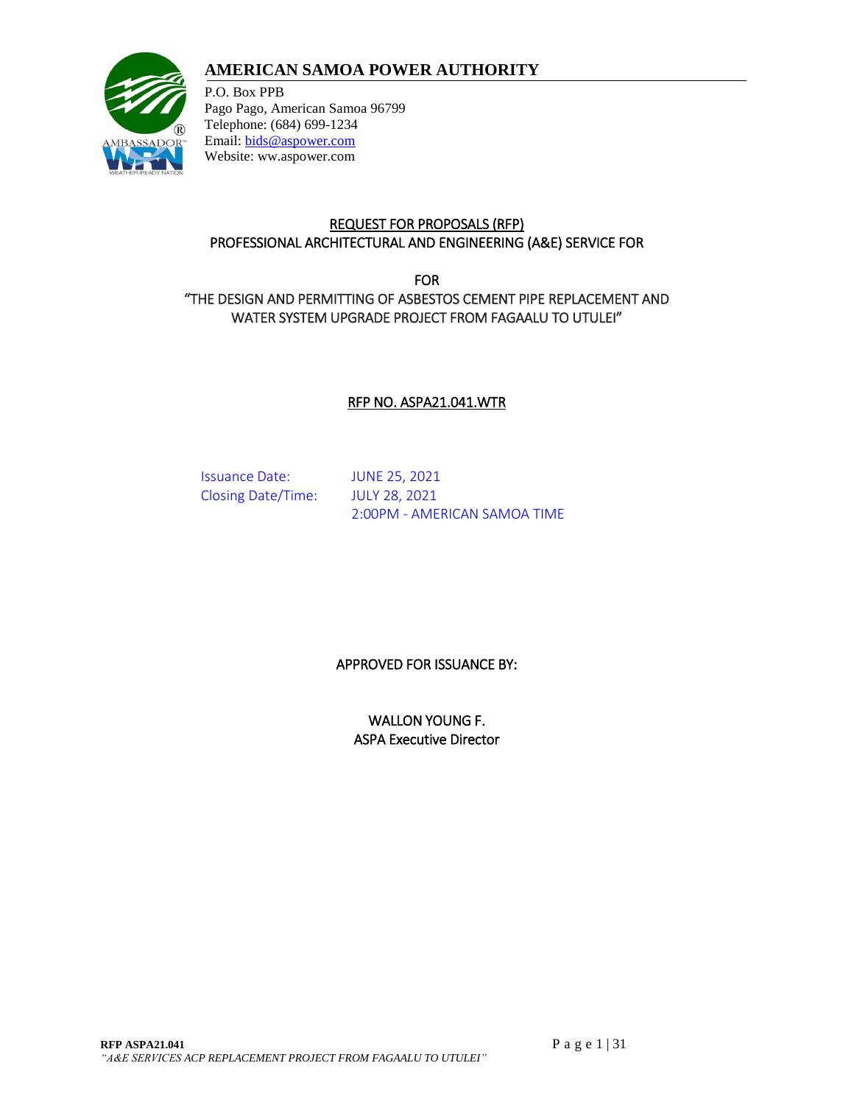# **AMERICAN SAMOA POWER AUTHORITY**



P.O. Box PPB Pago Pago, American Samoa 96799 Telephone: (684) 699-1234 Email: [bids@aspower.com](mailto:bids@aspower.com) Website: ww.aspower.com

### REQUEST FOR PROPOSALS (RFP) PROFESSIONAL ARCHITECTURAL AND ENGINEERING (A&E) SERVICE FOR

FOR "THE DESIGN AND PERMITTING OF ASBESTOS CEMENT PIPE REPLACEMENT AND WATER SYSTEM UPGRADE PROJECT FROM FAGAALU TO UTULEI"

### RFP NO. ASPA21.041.WTR

Issuance Date: JUNE 25, 2021 Closing Date/Time: JULY 28, 2021

2:00PM - AMERICAN SAMOA TIME

### APPROVED FOR ISSUANCE BY:

WALLON YOUNG F. ASPA Executive Director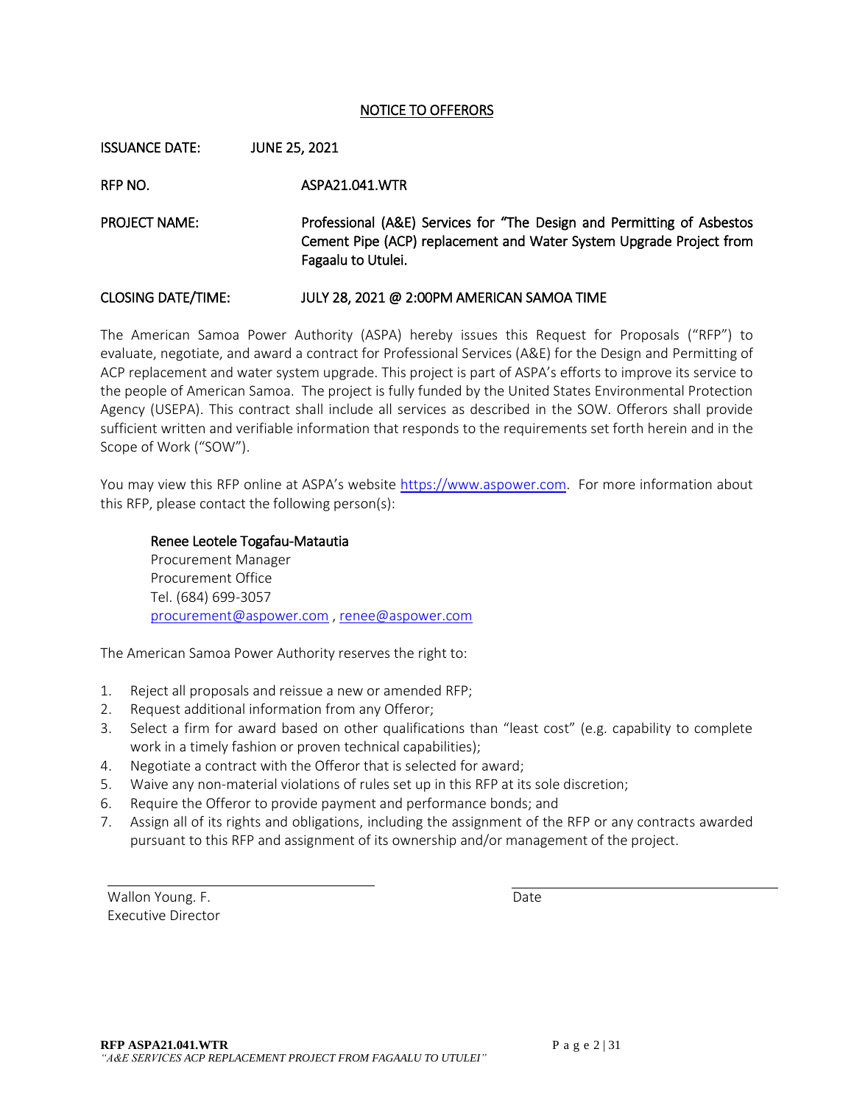#### NOTICE TO OFFERORS

ISSUANCE DATE: JUNE 25, 2021 RFP NO. ASPA21.041.WTR PROJECT NAME: Professional (A&E) Services for "The Design and Permitting of Asbestos Cement Pipe (ACP) replacement and Water System Upgrade Project from Fagaalu to Utulei. CLOSING DATE/TIME: JULY 28, 2021 @ 2:00PM AMERICAN SAMOA TIME

### The American Samoa Power Authority (ASPA) hereby issues this Request for Proposals ("RFP") to evaluate, negotiate, and award a contract for Professional Services (A&E) for the Design and Permitting of ACP replacement and water system upgrade. This project is part of ASPA's efforts to improve its service to the people of American Samoa. The project is fully funded by the United States Environmental Protection Agency (USEPA). This contract shall include all services as described in the SOW. Offerors shall provide sufficient written and verifiable information that responds to the requirements set forth herein and in the Scope of Work ("SOW").

You may view this RFP online at ASPA's website [https://www.aspower.com.](https://www.aspower.com/) For more information about this RFP, please contact the following person(s):

#### Renee Leotele Togafau-Matautia

Procurement Manager Procurement Office Tel. (684) 699-3057 [procurement@aspower.com](mailto:procurement@aspower.com) [, renee@aspower.com](mailto:renee@aspower.com)

The American Samoa Power Authority reserves the right to:

- 1. Reject all proposals and reissue a new or amended RFP;
- 2. Request additional information from any Offeror;
- 3. Select a firm for award based on other qualifications than "least cost" (e.g. capability to complete work in a timely fashion or proven technical capabilities);
- 4. Negotiate a contract with the Offeror that is selected for award;
- 5. Waive any non-material violations of rules set up in this RFP at its sole discretion;
- 6. Require the Offeror to provide payment and performance bonds; and
- 7. Assign all of its rights and obligations, including the assignment of the RFP or any contracts awarded pursuant to this RFP and assignment of its ownership and/or management of the project.

Wallon Young. F. Date Executive Director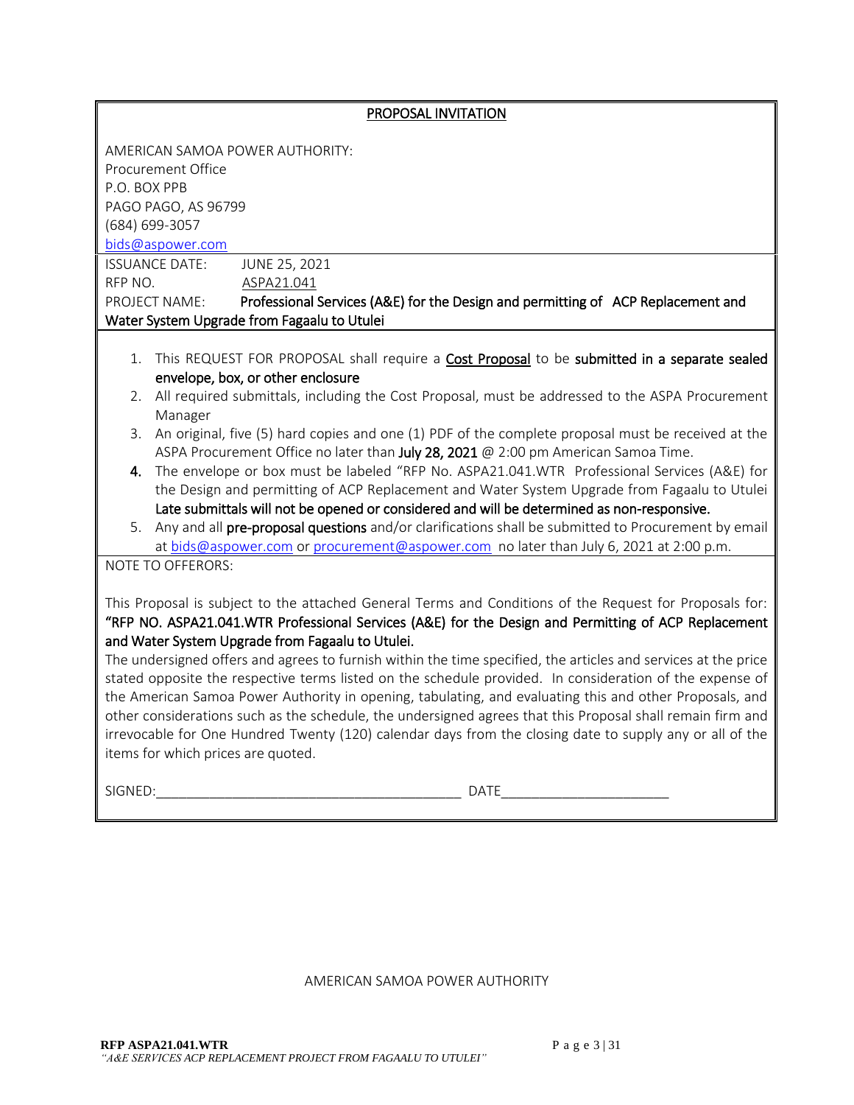| PROPOSAL INVITATION                                                                                                                                                                                                                                                                                                                                                                                                                                                                                                                                                                                                                                                                                                                                                                                                                                                          |  |  |  |  |  |  |  |
|------------------------------------------------------------------------------------------------------------------------------------------------------------------------------------------------------------------------------------------------------------------------------------------------------------------------------------------------------------------------------------------------------------------------------------------------------------------------------------------------------------------------------------------------------------------------------------------------------------------------------------------------------------------------------------------------------------------------------------------------------------------------------------------------------------------------------------------------------------------------------|--|--|--|--|--|--|--|
| AMERICAN SAMOA POWER AUTHORITY:                                                                                                                                                                                                                                                                                                                                                                                                                                                                                                                                                                                                                                                                                                                                                                                                                                              |  |  |  |  |  |  |  |
| Procurement Office                                                                                                                                                                                                                                                                                                                                                                                                                                                                                                                                                                                                                                                                                                                                                                                                                                                           |  |  |  |  |  |  |  |
| P.O. BOX PPB                                                                                                                                                                                                                                                                                                                                                                                                                                                                                                                                                                                                                                                                                                                                                                                                                                                                 |  |  |  |  |  |  |  |
| PAGO PAGO, AS 96799                                                                                                                                                                                                                                                                                                                                                                                                                                                                                                                                                                                                                                                                                                                                                                                                                                                          |  |  |  |  |  |  |  |
| (684) 699-3057                                                                                                                                                                                                                                                                                                                                                                                                                                                                                                                                                                                                                                                                                                                                                                                                                                                               |  |  |  |  |  |  |  |
|                                                                                                                                                                                                                                                                                                                                                                                                                                                                                                                                                                                                                                                                                                                                                                                                                                                                              |  |  |  |  |  |  |  |
| bids@aspower.com                                                                                                                                                                                                                                                                                                                                                                                                                                                                                                                                                                                                                                                                                                                                                                                                                                                             |  |  |  |  |  |  |  |
| JUNE 25, 2021<br><b>ISSUANCE DATE:</b>                                                                                                                                                                                                                                                                                                                                                                                                                                                                                                                                                                                                                                                                                                                                                                                                                                       |  |  |  |  |  |  |  |
| RFP NO.<br>ASPA21.041                                                                                                                                                                                                                                                                                                                                                                                                                                                                                                                                                                                                                                                                                                                                                                                                                                                        |  |  |  |  |  |  |  |
| PROJECT NAME:<br>Professional Services (A&E) for the Design and permitting of ACP Replacement and                                                                                                                                                                                                                                                                                                                                                                                                                                                                                                                                                                                                                                                                                                                                                                            |  |  |  |  |  |  |  |
| Water System Upgrade from Fagaalu to Utulei                                                                                                                                                                                                                                                                                                                                                                                                                                                                                                                                                                                                                                                                                                                                                                                                                                  |  |  |  |  |  |  |  |
| This REQUEST FOR PROPOSAL shall require a <b>Cost Proposal</b> to be submitted in a separate sealed<br>1.<br>envelope, box, or other enclosure                                                                                                                                                                                                                                                                                                                                                                                                                                                                                                                                                                                                                                                                                                                               |  |  |  |  |  |  |  |
| 2. All required submittals, including the Cost Proposal, must be addressed to the ASPA Procurement<br>Manager                                                                                                                                                                                                                                                                                                                                                                                                                                                                                                                                                                                                                                                                                                                                                                |  |  |  |  |  |  |  |
| An original, five (5) hard copies and one (1) PDF of the complete proposal must be received at the<br>3.<br>ASPA Procurement Office no later than July 28, 2021 @ 2:00 pm American Samoa Time.                                                                                                                                                                                                                                                                                                                                                                                                                                                                                                                                                                                                                                                                               |  |  |  |  |  |  |  |
| The envelope or box must be labeled "RFP No. ASPA21.041.WTR Professional Services (A&E) for<br>4.<br>the Design and permitting of ACP Replacement and Water System Upgrade from Fagaalu to Utulei<br>Late submittals will not be opened or considered and will be determined as non-responsive.                                                                                                                                                                                                                                                                                                                                                                                                                                                                                                                                                                              |  |  |  |  |  |  |  |
| 5. Any and all pre-proposal questions and/or clarifications shall be submitted to Procurement by email<br>at bids@aspower.com or procurement@aspower.com no later than July 6, 2021 at 2:00 p.m.                                                                                                                                                                                                                                                                                                                                                                                                                                                                                                                                                                                                                                                                             |  |  |  |  |  |  |  |
| NOTE TO OFFERORS:                                                                                                                                                                                                                                                                                                                                                                                                                                                                                                                                                                                                                                                                                                                                                                                                                                                            |  |  |  |  |  |  |  |
| This Proposal is subject to the attached General Terms and Conditions of the Request for Proposals for:<br>"RFP NO. ASPA21.041.WTR Professional Services (A&E) for the Design and Permitting of ACP Replacement<br>and Water System Upgrade from Fagaalu to Utulei.<br>The undersigned offers and agrees to furnish within the time specified, the articles and services at the price<br>stated opposite the respective terms listed on the schedule provided. In consideration of the expense of<br>the American Samoa Power Authority in opening, tabulating, and evaluating this and other Proposals, and<br>other considerations such as the schedule, the undersigned agrees that this Proposal shall remain firm and<br>irrevocable for One Hundred Twenty (120) calendar days from the closing date to supply any or all of the<br>items for which prices are quoted. |  |  |  |  |  |  |  |
| <b>DATE</b><br>SIGNED:                                                                                                                                                                                                                                                                                                                                                                                                                                                                                                                                                                                                                                                                                                                                                                                                                                                       |  |  |  |  |  |  |  |

AMERICAN SAMOA POWER AUTHORITY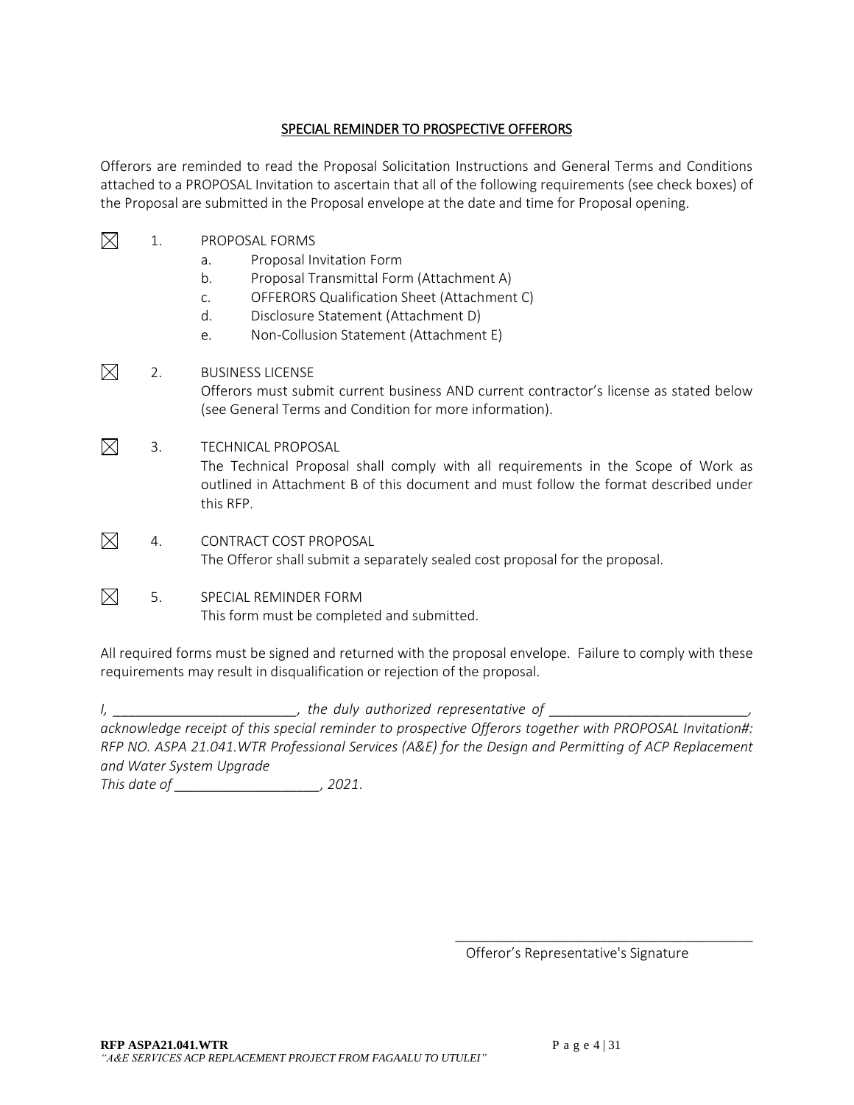#### SPECIAL REMINDER TO PROSPECTIVE OFFERORS

Offerors are reminded to read the Proposal Solicitation Instructions and General Terms and Conditions attached to a PROPOSAL Invitation to ascertain that all of the following requirements (see check boxes) of the Proposal are submitted in the Proposal envelope at the date and time for Proposal opening.

- $\boxtimes$ 1. PROPOSAL FORMS
	- a. Proposal Invitation Form
	- b. Proposal Transmittal Form (Attachment A)
	- c. OFFERORS Qualification Sheet (Attachment C)
	- d. Disclosure Statement (Attachment D)
	- e. Non-Collusion Statement (Attachment E)
- $\boxtimes$ 2. BUSINESS LICENSE Offerors must submit current business AND current contractor's license as stated below (see General Terms and Condition for more information).
- $\boxtimes$ 3. TECHNICAL PROPOSAL The Technical Proposal shall comply with all requirements in the Scope of Work as outlined in Attachment B of this document and must follow the format described under this RFP.
- $\boxtimes$ 4. CONTRACT COST PROPOSAL The Offeror shall submit a separately sealed cost proposal for the proposal.
- $\boxtimes$ 5. SPECIAL REMINDER FORM This form must be completed and submitted.

All required forms must be signed and returned with the proposal envelope. Failure to comply with these requirements may result in disqualification or rejection of the proposal.

*I, \_\_\_\_\_\_\_\_\_\_\_\_\_\_\_\_\_\_\_\_\_\_\_\_, the duly authorized representative of \_\_\_\_\_\_\_\_\_\_\_\_\_\_\_\_\_\_\_\_\_\_\_\_\_\_,* 

*acknowledge receipt of this special reminder to prospective Offerors together with PROPOSAL Invitation#: RFP NO. ASPA 21.041.WTR Professional Services (A&E) for the Design and Permitting of ACP Replacement and Water System Upgrade*

*This date of \_\_\_\_\_\_\_\_\_\_\_\_\_\_\_\_\_\_\_, 2021*.

Offeror's Representative's Signature

\_\_\_\_\_\_\_\_\_\_\_\_\_\_\_\_\_\_\_\_\_\_\_\_\_\_\_\_\_\_\_\_\_\_\_\_\_\_\_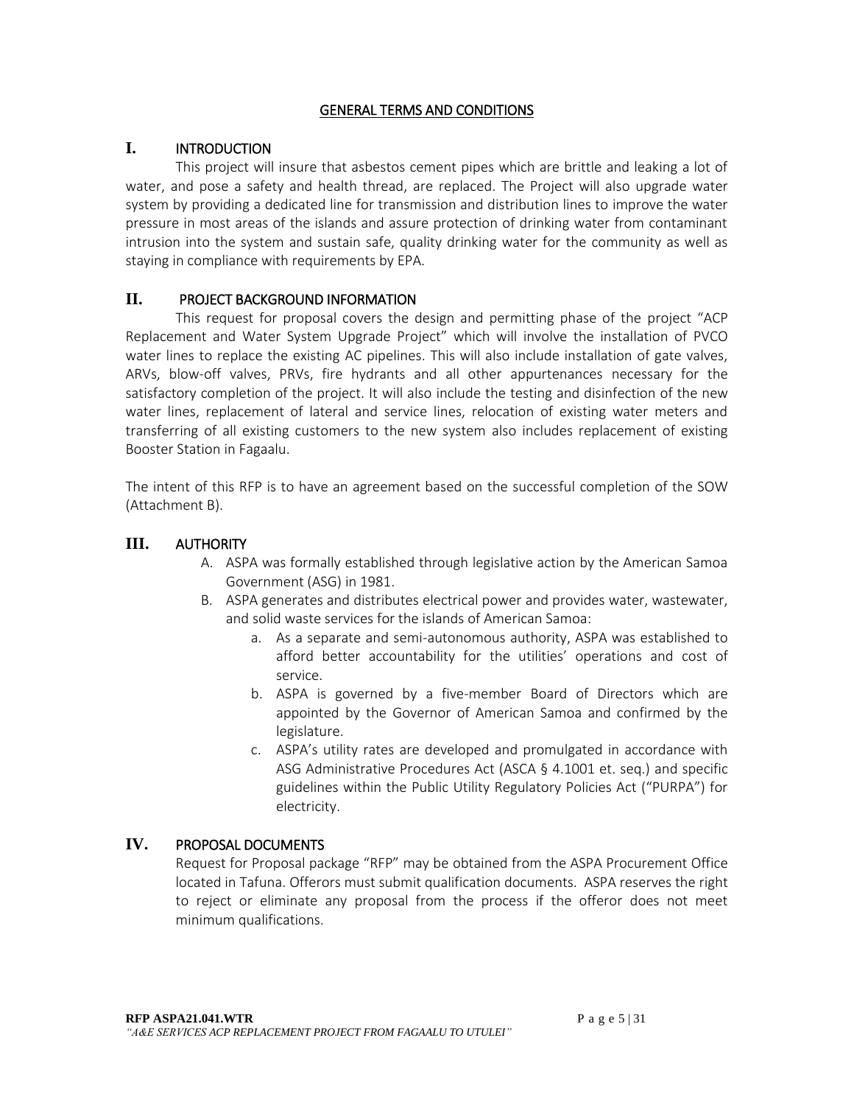#### GENERAL TERMS AND CONDITIONS

### **I.** INTRODUCTION

This project will insure that asbestos cement pipes which are brittle and leaking a lot of water, and pose a safety and health thread, are replaced. The Project will also upgrade water system by providing a dedicated line for transmission and distribution lines to improve the water pressure in most areas of the islands and assure protection of drinking water from contaminant intrusion into the system and sustain safe, quality drinking water for the community as well as staying in compliance with requirements by EPA.

### **II.** PROJECT BACKGROUND INFORMATION

This request for proposal covers the design and permitting phase of the project "ACP Replacement and Water System Upgrade Project" which will involve the installation of PVCO water lines to replace the existing AC pipelines. This will also include installation of gate valves, ARVs, blow-off valves, PRVs, fire hydrants and all other appurtenances necessary for the satisfactory completion of the project. It will also include the testing and disinfection of the new water lines, replacement of lateral and service lines, relocation of existing water meters and transferring of all existing customers to the new system also includes replacement of existing Booster Station in Fagaalu.

The intent of this RFP is to have an agreement based on the successful completion of the SOW (Attachment B).

### **III.** AUTHORITY

- A. ASPA was formally established through legislative action by the American Samoa Government (ASG) in 1981.
- B. ASPA generates and distributes electrical power and provides water, wastewater, and solid waste services for the islands of American Samoa:
	- a. As a separate and semi-autonomous authority, ASPA was established to afford better accountability for the utilities' operations and cost of service.
	- b. ASPA is governed by a five-member Board of Directors which are appointed by the Governor of American Samoa and confirmed by the legislature.
	- c. ASPA's utility rates are developed and promulgated in accordance with ASG Administrative Procedures Act (ASCA § 4.1001 et. seq.) and specific guidelines within the Public Utility Regulatory Policies Act ("PURPA") for electricity.

### **IV.** PROPOSAL DOCUMENTS

Request for Proposal package "RFP" may be obtained from the ASPA Procurement Office located in Tafuna. Offerors must submit qualification documents. ASPA reserves the right to reject or eliminate any proposal from the process if the offeror does not meet minimum qualifications.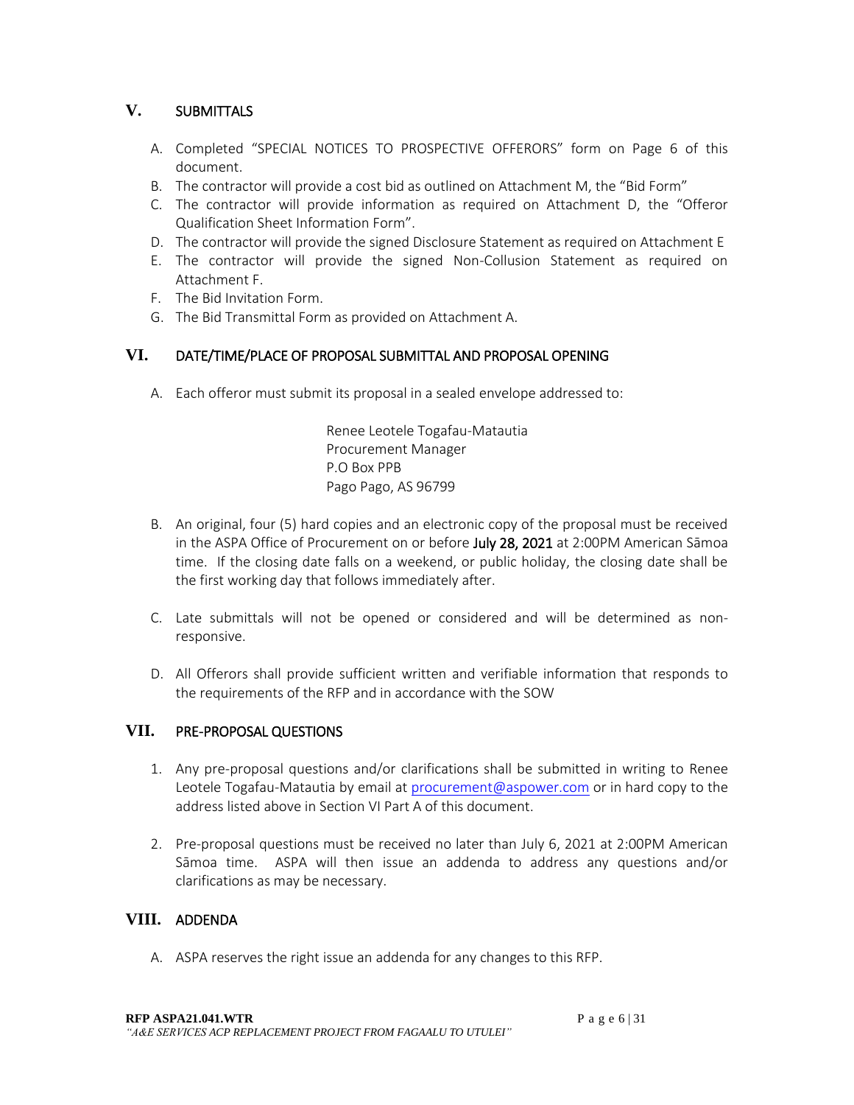## **V.** SUBMITTALS

- A. Completed "SPECIAL NOTICES TO PROSPECTIVE OFFERORS" form on Page 6 of this document.
- B. The contractor will provide a cost bid as outlined on Attachment M, the "Bid Form"
- C. The contractor will provide information as required on Attachment D, the "Offeror Qualification Sheet Information Form".
- D. The contractor will provide the signed Disclosure Statement as required on Attachment E
- E. The contractor will provide the signed Non-Collusion Statement as required on Attachment F.
- F. The Bid Invitation Form.
- G. The Bid Transmittal Form as provided on Attachment A.

### **VI.** DATE/TIME/PLACE OF PROPOSAL SUBMITTAL AND PROPOSAL OPENING

A. Each offeror must submit its proposal in a sealed envelope addressed to:

Renee Leotele Togafau-Matautia Procurement Manager P.O Box PPB Pago Pago, AS 96799

- B. An original, four (5) hard copies and an electronic copy of the proposal must be received in the ASPA Office of Procurement on or before July 28, 2021 at 2:00PM American Sāmoa time. If the closing date falls on a weekend, or public holiday, the closing date shall be the first working day that follows immediately after.
- C. Late submittals will not be opened or considered and will be determined as nonresponsive.
- D. All Offerors shall provide sufficient written and verifiable information that responds to the requirements of the RFP and in accordance with the SOW

## **VII.** PRE-PROPOSAL QUESTIONS

- 1. Any pre-proposal questions and/or clarifications shall be submitted in writing to Renee Leotele Togafau-Matautia by email at [procurement@aspower.com](mailto:procurement@aspower.com) or in hard copy to the address listed above in Section VI Part A of this document.
- 2. Pre-proposal questions must be received no later than July 6, 2021 at 2:00PM American Sāmoa time. ASPA will then issue an addenda to address any questions and/or clarifications as may be necessary.

### **VIII.** ADDENDA

A. ASPA reserves the right issue an addenda for any changes to this RFP.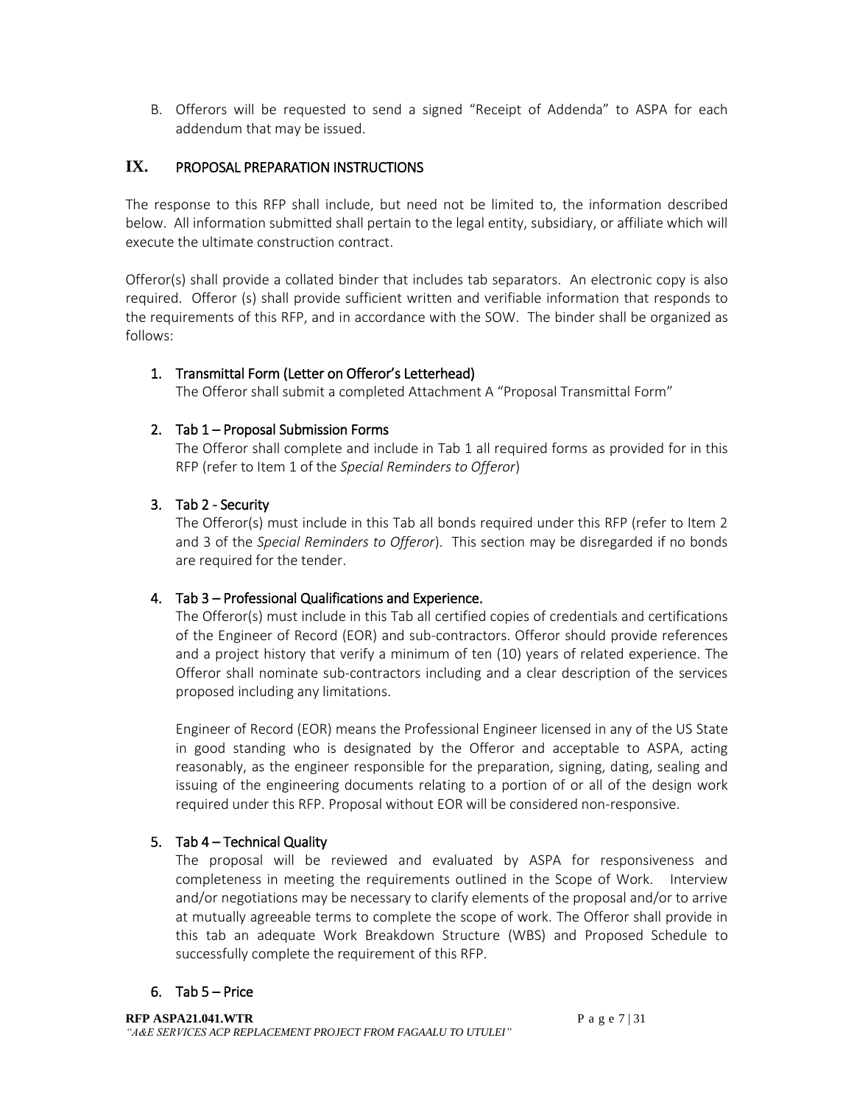B. Offerors will be requested to send a signed "Receipt of Addenda" to ASPA for each addendum that may be issued.

### **IX.** PROPOSAL PREPARATION INSTRUCTIONS

The response to this RFP shall include, but need not be limited to, the information described below. All information submitted shall pertain to the legal entity, subsidiary, or affiliate which will execute the ultimate construction contract.

Offeror(s) shall provide a collated binder that includes tab separators. An electronic copy is also required. Offeror (s) shall provide sufficient written and verifiable information that responds to the requirements of this RFP, and in accordance with the SOW. The binder shall be organized as follows:

### 1. Transmittal Form (Letter on Offeror's Letterhead)

The Offeror shall submit a completed Attachment A "Proposal Transmittal Form"

### 2. Tab 1 – Proposal Submission Forms

The Offeror shall complete and include in Tab 1 all required forms as provided for in this RFP (refer to Item 1 of the *Special Reminders to Offeror*)

#### 3. Tab 2 - Security

The Offeror(s) must include in this Tab all bonds required under this RFP (refer to Item 2 and 3 of the *Special Reminders to Offeror*). This section may be disregarded if no bonds are required for the tender.

### 4. Tab 3 – Professional Qualifications and Experience.

The Offeror(s) must include in this Tab all certified copies of credentials and certifications of the Engineer of Record (EOR) and sub-contractors. Offeror should provide references and a project history that verify a minimum of ten (10) years of related experience. The Offeror shall nominate sub-contractors including and a clear description of the services proposed including any limitations.

Engineer of Record (EOR) means the Professional Engineer licensed in any of the US State in good standing who is designated by the Offeror and acceptable to ASPA, acting reasonably, as the engineer responsible for the preparation, signing, dating, sealing and issuing of the engineering documents relating to a portion of or all of the design work required under this RFP. Proposal without EOR will be considered non-responsive.

### 5. Tab 4 – Technical Quality

The proposal will be reviewed and evaluated by ASPA for responsiveness and completeness in meeting the requirements outlined in the Scope of Work. Interview and/or negotiations may be necessary to clarify elements of the proposal and/or to arrive at mutually agreeable terms to complete the scope of work. The Offeror shall provide in this tab an adequate Work Breakdown Structure (WBS) and Proposed Schedule to successfully complete the requirement of this RFP.

#### 6. Tab  $5 -$  Price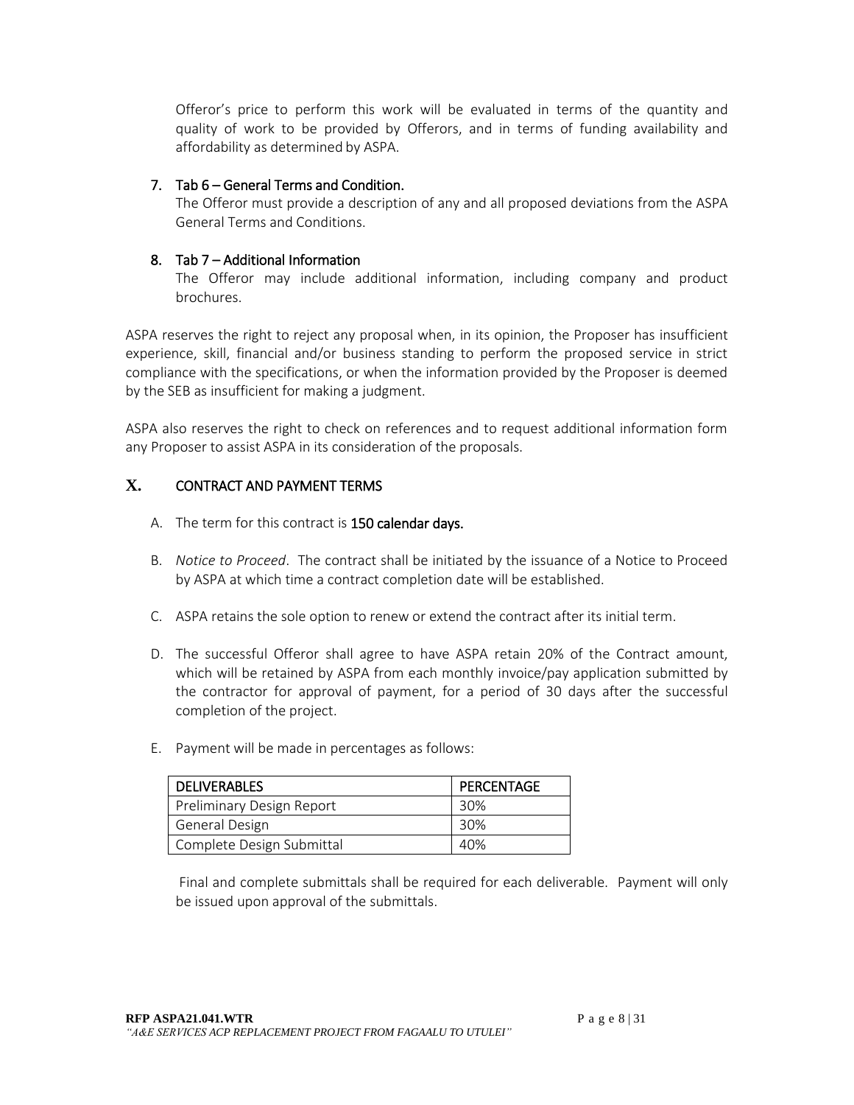Offeror's price to perform this work will be evaluated in terms of the quantity and quality of work to be provided by Offerors, and in terms of funding availability and affordability as determined by ASPA.

#### 7. Tab 6 – General Terms and Condition.

The Offeror must provide a description of any and all proposed deviations from the ASPA General Terms and Conditions.

### 8. Tab 7 – Additional Information

The Offeror may include additional information, including company and product brochures.

ASPA reserves the right to reject any proposal when, in its opinion, the Proposer has insufficient experience, skill, financial and/or business standing to perform the proposed service in strict compliance with the specifications, or when the information provided by the Proposer is deemed by the SEB as insufficient for making a judgment.

ASPA also reserves the right to check on references and to request additional information form any Proposer to assist ASPA in its consideration of the proposals.

### **X.** CONTRACT AND PAYMENT TERMS

- A. The term for this contract is 150 calendar days.
- B. *Notice to Proceed*. The contract shall be initiated by the issuance of a Notice to Proceed by ASPA at which time a contract completion date will be established.
- C. ASPA retains the sole option to renew or extend the contract after its initial term.
- D. The successful Offeror shall agree to have ASPA retain 20% of the Contract amount, which will be retained by ASPA from each monthly invoice/pay application submitted by the contractor for approval of payment, for a period of 30 days after the successful completion of the project.
- E. Payment will be made in percentages as follows:

| <b>DELIVERABLES</b>       | <b>PERCENTAGE</b> |
|---------------------------|-------------------|
| Preliminary Design Report | 30%               |
| <b>General Design</b>     | 30%               |
| Complete Design Submittal | 40%               |

Final and complete submittals shall be required for each deliverable. Payment will only be issued upon approval of the submittals.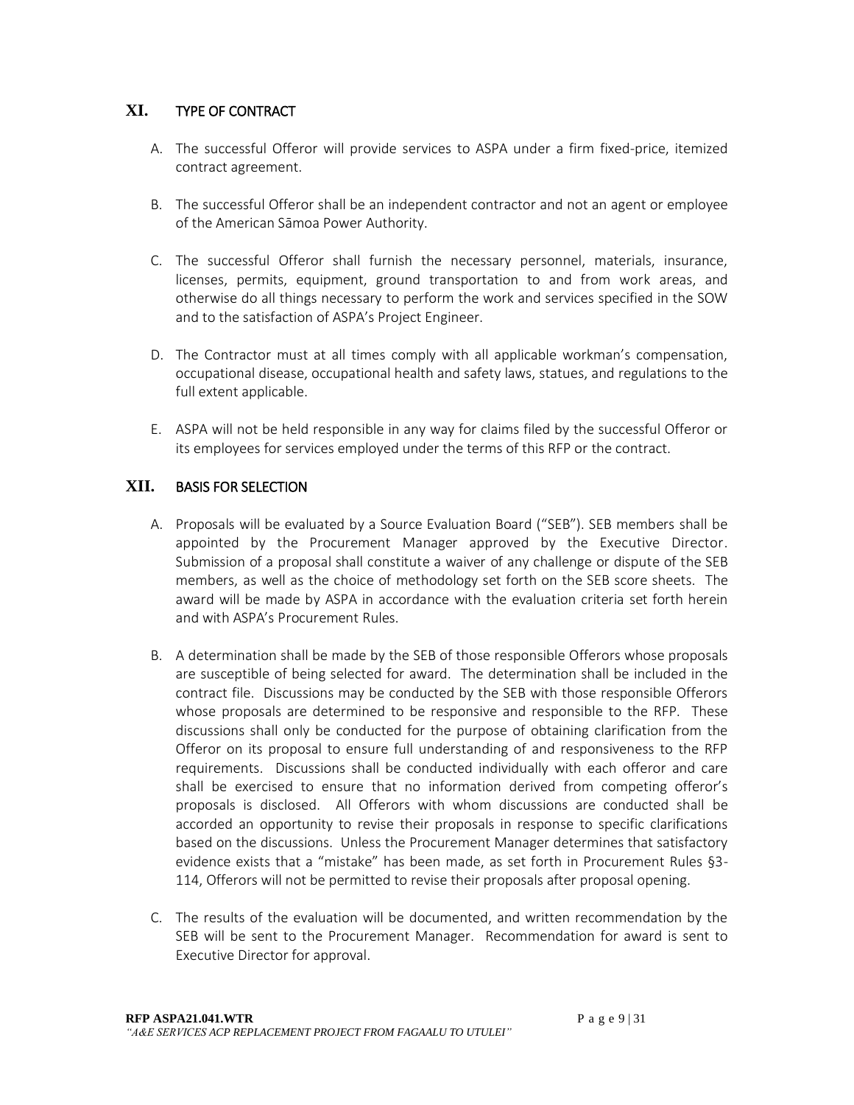## **XI.** TYPE OF CONTRACT

- A. The successful Offeror will provide services to ASPA under a firm fixed-price, itemized contract agreement.
- B. The successful Offeror shall be an independent contractor and not an agent or employee of the American Sāmoa Power Authority.
- C. The successful Offeror shall furnish the necessary personnel, materials, insurance, licenses, permits, equipment, ground transportation to and from work areas, and otherwise do all things necessary to perform the work and services specified in the SOW and to the satisfaction of ASPA's Project Engineer.
- D. The Contractor must at all times comply with all applicable workman's compensation, occupational disease, occupational health and safety laws, statues, and regulations to the full extent applicable.
- E. ASPA will not be held responsible in any way for claims filed by the successful Offeror or its employees for services employed under the terms of this RFP or the contract.

### **XII.** BASIS FOR SELECTION

- A. Proposals will be evaluated by a Source Evaluation Board ("SEB"). SEB members shall be appointed by the Procurement Manager approved by the Executive Director. Submission of a proposal shall constitute a waiver of any challenge or dispute of the SEB members, as well as the choice of methodology set forth on the SEB score sheets. The award will be made by ASPA in accordance with the evaluation criteria set forth herein and with ASPA's Procurement Rules.
- B. A determination shall be made by the SEB of those responsible Offerors whose proposals are susceptible of being selected for award. The determination shall be included in the contract file. Discussions may be conducted by the SEB with those responsible Offerors whose proposals are determined to be responsive and responsible to the RFP. These discussions shall only be conducted for the purpose of obtaining clarification from the Offeror on its proposal to ensure full understanding of and responsiveness to the RFP requirements. Discussions shall be conducted individually with each offeror and care shall be exercised to ensure that no information derived from competing offeror's proposals is disclosed. All Offerors with whom discussions are conducted shall be accorded an opportunity to revise their proposals in response to specific clarifications based on the discussions. Unless the Procurement Manager determines that satisfactory evidence exists that a "mistake" has been made, as set forth in Procurement Rules §3- 114, Offerors will not be permitted to revise their proposals after proposal opening.
- C. The results of the evaluation will be documented, and written recommendation by the SEB will be sent to the Procurement Manager. Recommendation for award is sent to Executive Director for approval.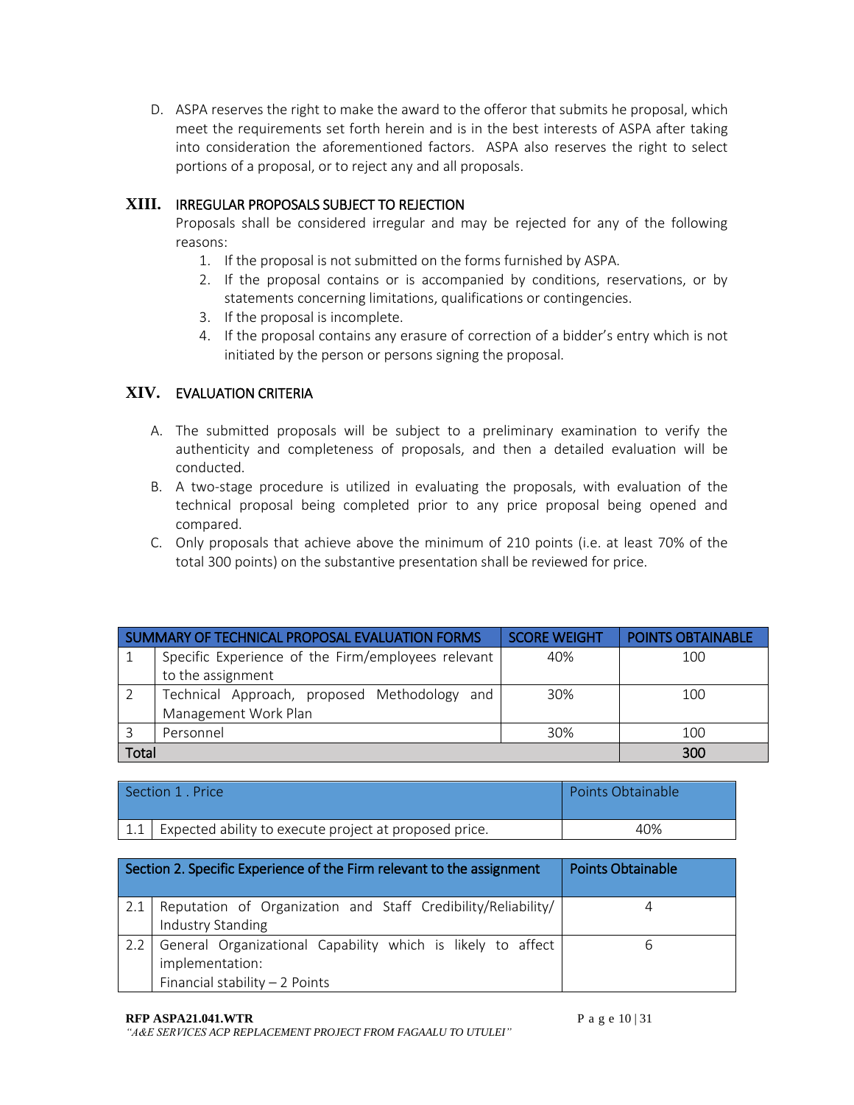D. ASPA reserves the right to make the award to the offeror that submits he proposal, which meet the requirements set forth herein and is in the best interests of ASPA after taking into consideration the aforementioned factors. ASPA also reserves the right to select portions of a proposal, or to reject any and all proposals.

## **XIII.** IRREGULAR PROPOSALS SUBJECT TO REJECTION

Proposals shall be considered irregular and may be rejected for any of the following reasons:

- 1. If the proposal is not submitted on the forms furnished by ASPA.
- 2. If the proposal contains or is accompanied by conditions, reservations, or by statements concerning limitations, qualifications or contingencies.
- 3. If the proposal is incomplete.
- 4. If the proposal contains any erasure of correction of a bidder's entry which is not initiated by the person or persons signing the proposal.

### **XIV.** EVALUATION CRITERIA

- A. The submitted proposals will be subject to a preliminary examination to verify the authenticity and completeness of proposals, and then a detailed evaluation will be conducted.
- B. A two-stage procedure is utilized in evaluating the proposals, with evaluation of the technical proposal being completed prior to any price proposal being opened and compared.
- C. Only proposals that achieve above the minimum of 210 points (i.e. at least 70% of the total 300 points) on the substantive presentation shall be reviewed for price.

|       | SUMMARY OF TECHNICAL PROPOSAL EVALUATION FORMS     | <b>SCORE WEIGHT</b> | <b>POINTS OBTAINABLE</b> |
|-------|----------------------------------------------------|---------------------|--------------------------|
|       | Specific Experience of the Firm/employees relevant | 40%                 | 100                      |
|       | to the assignment                                  |                     |                          |
|       | Technical Approach, proposed Methodology and       | 30%                 | 100                      |
|       | Management Work Plan                               |                     |                          |
|       | Personnel                                          | 30%                 | 100                      |
| Total |                                                    |                     | 300                      |

| Section 1, Price                                           | Points Obtainable |
|------------------------------------------------------------|-------------------|
| 1.1 Expected ability to execute project at proposed price. | 40%               |

| Section 2. Specific Experience of the Firm relevant to the assignment | <b>Points Obtainable</b> |
|-----------------------------------------------------------------------|--------------------------|
| Reputation of Organization and Staff Credibility/Reliability/         |                          |
| Industry Standing                                                     |                          |
| General Organizational Capability which is likely to affect           | h                        |
| implementation:                                                       |                          |
| Financial stability $-2$ Points                                       |                          |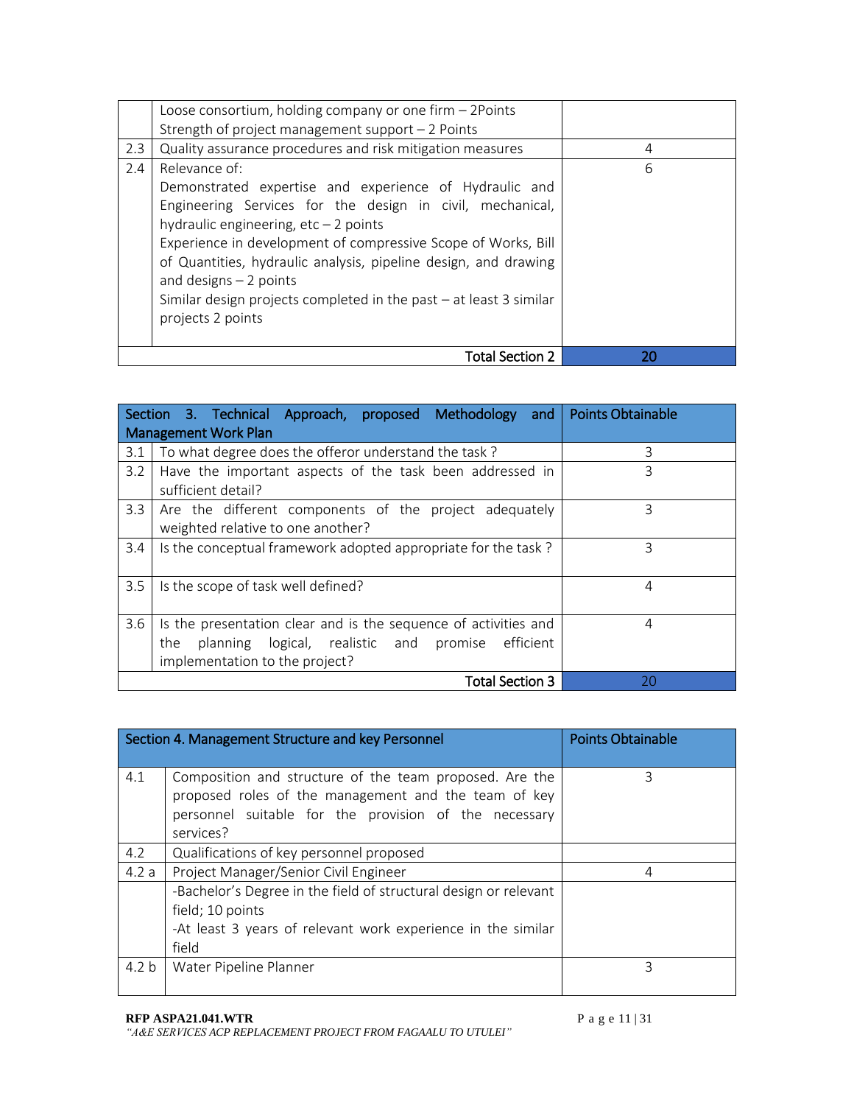|     | Loose consortium, holding company or one firm - 2Points<br>Strength of project management support - 2 Points                                                                                                                                                                                                                                                                                                                              |    |
|-----|-------------------------------------------------------------------------------------------------------------------------------------------------------------------------------------------------------------------------------------------------------------------------------------------------------------------------------------------------------------------------------------------------------------------------------------------|----|
| 2.3 | Quality assurance procedures and risk mitigation measures                                                                                                                                                                                                                                                                                                                                                                                 | 4  |
| 2.4 | Relevance of:<br>Demonstrated expertise and experience of Hydraulic and<br>Engineering Services for the design in civil, mechanical,<br>hydraulic engineering, $etc-2$ points<br>Experience in development of compressive Scope of Works, Bill<br>of Quantities, hydraulic analysis, pipeline design, and drawing<br>and designs $-2$ points<br>Similar design projects completed in the past $-$ at least 3 similar<br>projects 2 points | 6  |
|     | Total Section 2                                                                                                                                                                                                                                                                                                                                                                                                                           | 20 |

|               | Section 3. Technical Approach, proposed Methodology and                                                                                                       | <b>Points Obtainable</b> |  |  |  |  |  |  |  |  |
|---------------|---------------------------------------------------------------------------------------------------------------------------------------------------------------|--------------------------|--|--|--|--|--|--|--|--|
|               | <b>Management Work Plan</b>                                                                                                                                   |                          |  |  |  |  |  |  |  |  |
| 3.1           | To what degree does the offeror understand the task?                                                                                                          | 3                        |  |  |  |  |  |  |  |  |
| 3.2           | 3<br>Have the important aspects of the task been addressed in<br>sufficient detail?                                                                           |                          |  |  |  |  |  |  |  |  |
| 3.3           | 3<br>Are the different components of the project adequately<br>weighted relative to one another?                                                              |                          |  |  |  |  |  |  |  |  |
| $3.4^{\circ}$ | Is the conceptual framework adopted appropriate for the task?                                                                                                 | 3                        |  |  |  |  |  |  |  |  |
| 3.5           | Is the scope of task well defined?                                                                                                                            | 4                        |  |  |  |  |  |  |  |  |
| 3.6           | Is the presentation clear and is the sequence of activities and<br>planning logical, realistic and promise efficient<br>the<br>implementation to the project? | 4                        |  |  |  |  |  |  |  |  |
|               | <b>Total Section 3</b>                                                                                                                                        | 20                       |  |  |  |  |  |  |  |  |

|                  | Section 4. Management Structure and key Personnel                                                                                                                                     | <b>Points Obtainable</b> |
|------------------|---------------------------------------------------------------------------------------------------------------------------------------------------------------------------------------|--------------------------|
| 4.1              | Composition and structure of the team proposed. Are the<br>proposed roles of the management and the team of key<br>personnel suitable for the provision of the necessary<br>services? | 3                        |
| 4.2              | Qualifications of key personnel proposed                                                                                                                                              |                          |
| 4.2a             | Project Manager/Senior Civil Engineer                                                                                                                                                 | 4                        |
|                  | -Bachelor's Degree in the field of structural design or relevant<br>field; 10 points<br>-At least 3 years of relevant work experience in the similar<br>field                         |                          |
| 4.2 <sub>b</sub> | Water Pipeline Planner                                                                                                                                                                | 3                        |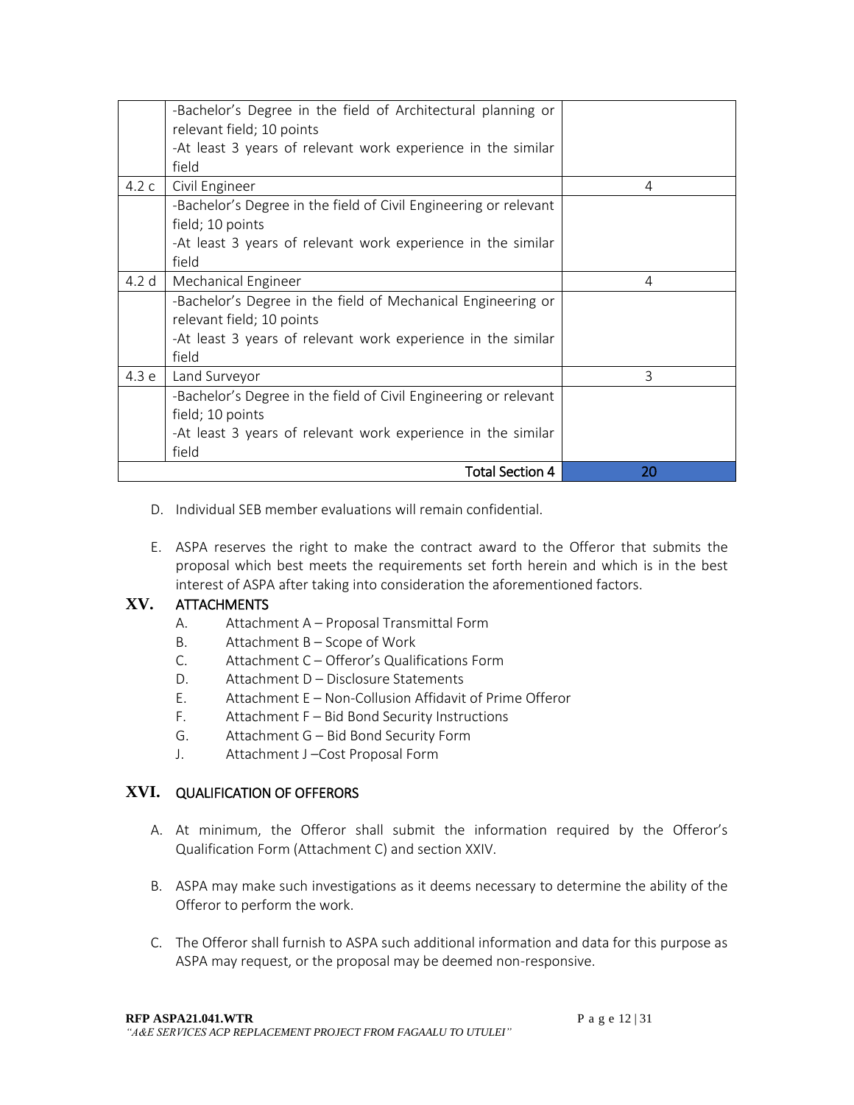|                  | -Bachelor's Degree in the field of Architectural planning or<br>relevant field; 10 points |    |
|------------------|-------------------------------------------------------------------------------------------|----|
|                  | -At least 3 years of relevant work experience in the similar                              |    |
|                  | field                                                                                     |    |
| 4.2c             | Civil Engineer                                                                            | 4  |
|                  | -Bachelor's Degree in the field of Civil Engineering or relevant                          |    |
|                  | field; 10 points                                                                          |    |
|                  | -At least 3 years of relevant work experience in the similar                              |    |
|                  | field                                                                                     |    |
| 4.2 <sub>d</sub> | Mechanical Engineer                                                                       | 4  |
|                  | -Bachelor's Degree in the field of Mechanical Engineering or                              |    |
|                  | relevant field; 10 points                                                                 |    |
|                  | -At least 3 years of relevant work experience in the similar                              |    |
|                  | field                                                                                     |    |
| 4.3 e            | Land Surveyor                                                                             | 3  |
|                  | -Bachelor's Degree in the field of Civil Engineering or relevant                          |    |
|                  | field; 10 points                                                                          |    |
|                  | -At least 3 years of relevant work experience in the similar                              |    |
|                  | field                                                                                     |    |
|                  | <b>Total Section 4</b>                                                                    | 20 |

- D. Individual SEB member evaluations will remain confidential.
- E. ASPA reserves the right to make the contract award to the Offeror that submits the proposal which best meets the requirements set forth herein and which is in the best interest of ASPA after taking into consideration the aforementioned factors.

### **XV.** ATTACHMENTS

- A. Attachment A Proposal Transmittal Form
- B. Attachment B Scope of Work
- C. Attachment C Offeror's Qualifications Form
- D. Attachment D Disclosure Statements
- E. Attachment E Non-Collusion Affidavit of Prime Offeror
- F. Attachment F Bid Bond Security Instructions
- G. Attachment G Bid Bond Security Form
- J. Attachment J –Cost Proposal Form

### **XVI.** QUALIFICATION OF OFFERORS

- A. At minimum, the Offeror shall submit the information required by the Offeror's Qualification Form (Attachment C) and section XXIV.
- B. ASPA may make such investigations as it deems necessary to determine the ability of the Offeror to perform the work.
- C. The Offeror shall furnish to ASPA such additional information and data for this purpose as ASPA may request, or the proposal may be deemed non-responsive.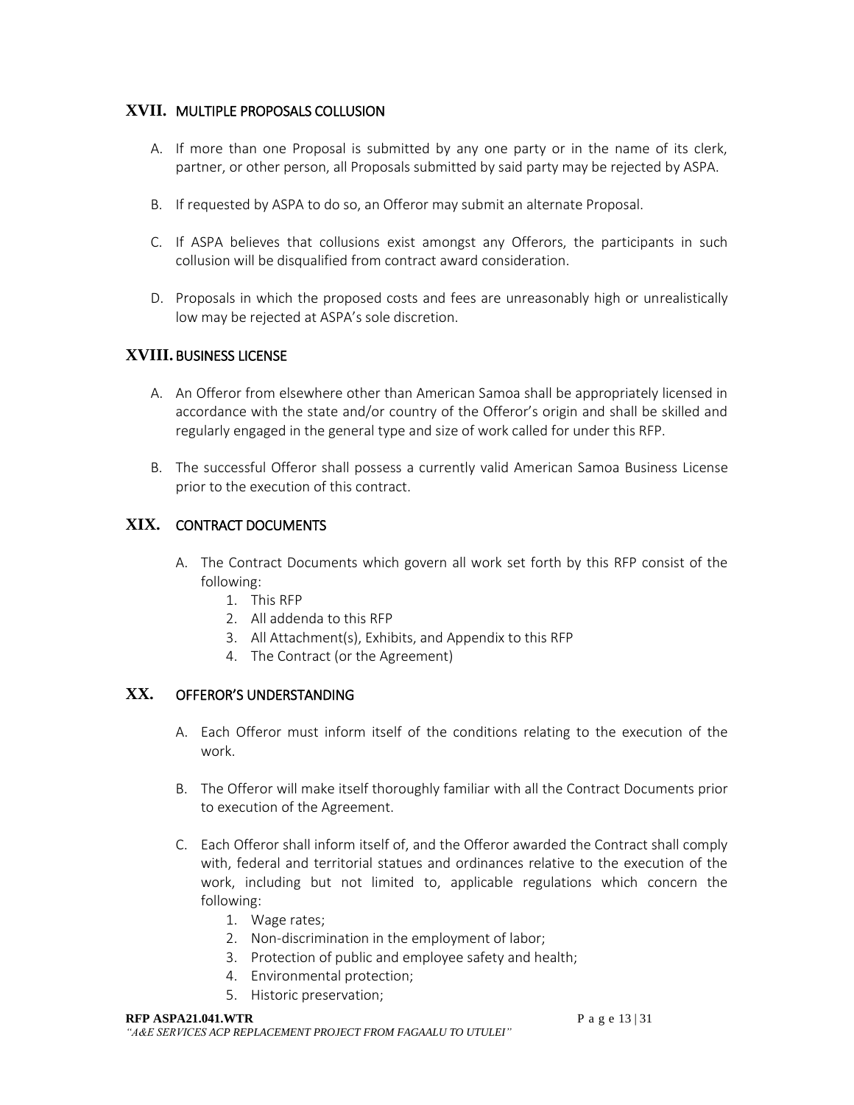### **XVII.** MULTIPLE PROPOSALS COLLUSION

- A. If more than one Proposal is submitted by any one party or in the name of its clerk, partner, or other person, all Proposals submitted by said party may be rejected by ASPA.
- B. If requested by ASPA to do so, an Offeror may submit an alternate Proposal.
- C. If ASPA believes that collusions exist amongst any Offerors, the participants in such collusion will be disqualified from contract award consideration.
- D. Proposals in which the proposed costs and fees are unreasonably high or unrealistically low may be rejected at ASPA's sole discretion.

### **XVIII.** BUSINESS LICENSE

- A. An Offeror from elsewhere other than American Samoa shall be appropriately licensed in accordance with the state and/or country of the Offeror's origin and shall be skilled and regularly engaged in the general type and size of work called for under this RFP.
- B. The successful Offeror shall possess a currently valid American Samoa Business License prior to the execution of this contract.

## **XIX.** CONTRACT DOCUMENTS

- A. The Contract Documents which govern all work set forth by this RFP consist of the following:
	- 1. This RFP
	- 2. All addenda to this RFP
	- 3. All Attachment(s), Exhibits, and Appendix to this RFP
	- 4. The Contract (or the Agreement)

### **XX.** OFFEROR'S UNDERSTANDING

- A. Each Offeror must inform itself of the conditions relating to the execution of the work.
- B. The Offeror will make itself thoroughly familiar with all the Contract Documents prior to execution of the Agreement.
- C. Each Offeror shall inform itself of, and the Offeror awarded the Contract shall comply with, federal and territorial statues and ordinances relative to the execution of the work, including but not limited to, applicable regulations which concern the following:
	- 1. Wage rates;
	- 2. Non-discrimination in the employment of labor;
	- 3. Protection of public and employee safety and health;
	- 4. Environmental protection;
	- 5. Historic preservation;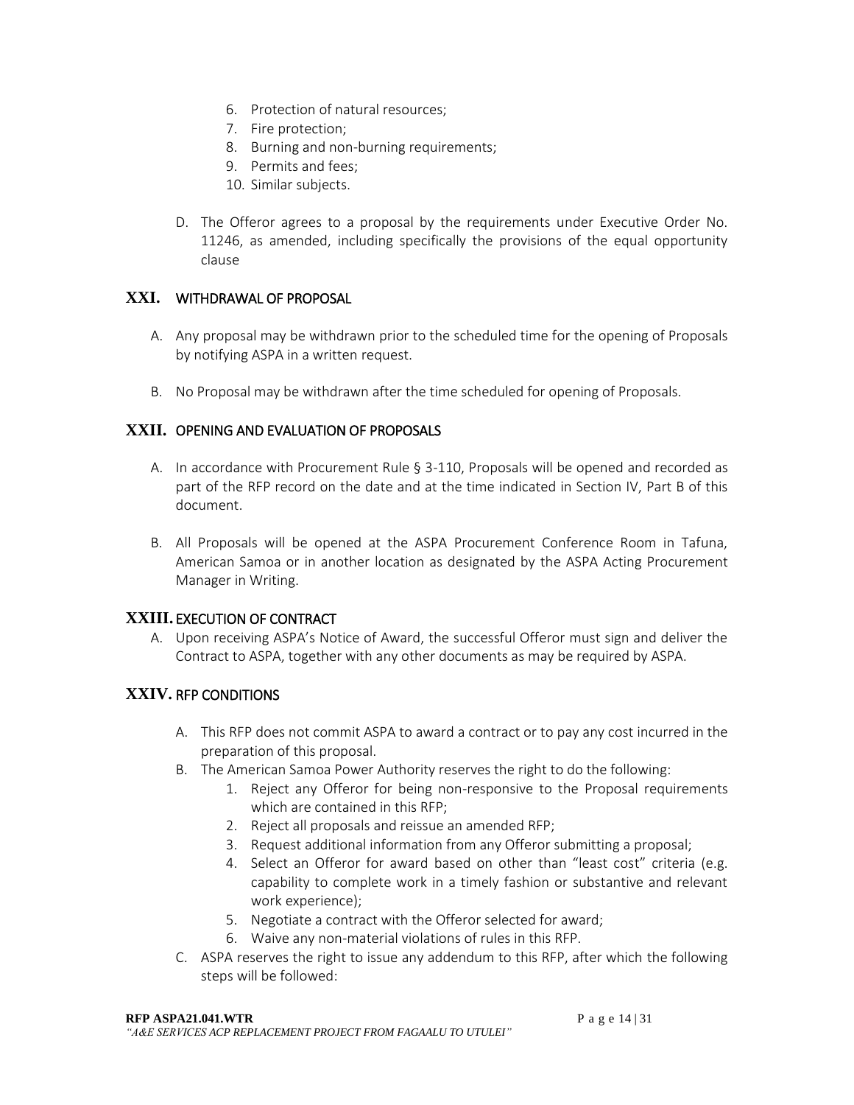- 6. Protection of natural resources;
- 7. Fire protection;
- 8. Burning and non-burning requirements;
- 9. Permits and fees;
- 10. Similar subjects.
- D. The Offeror agrees to a proposal by the requirements under Executive Order No. 11246, as amended, including specifically the provisions of the equal opportunity clause

### **XXI.** WITHDRAWAL OF PROPOSAL

- A. Any proposal may be withdrawn prior to the scheduled time for the opening of Proposals by notifying ASPA in a written request.
- B. No Proposal may be withdrawn after the time scheduled for opening of Proposals.

### **XXII.** OPENING AND EVALUATION OF PROPOSALS

- A. In accordance with Procurement Rule § 3-110, Proposals will be opened and recorded as part of the RFP record on the date and at the time indicated in Section IV, Part B of this document.
- B. All Proposals will be opened at the ASPA Procurement Conference Room in Tafuna, American Samoa or in another location as designated by the ASPA Acting Procurement Manager in Writing.

### **XXIII.** EXECUTION OF CONTRACT

A. Upon receiving ASPA's Notice of Award, the successful Offeror must sign and deliver the Contract to ASPA, together with any other documents as may be required by ASPA.

### **XXIV.** RFP CONDITIONS

- A. This RFP does not commit ASPA to award a contract or to pay any cost incurred in the preparation of this proposal.
- B. The American Samoa Power Authority reserves the right to do the following:
	- 1. Reject any Offeror for being non-responsive to the Proposal requirements which are contained in this RFP;
	- 2. Reject all proposals and reissue an amended RFP;
	- 3. Request additional information from any Offeror submitting a proposal;
	- 4. Select an Offeror for award based on other than "least cost" criteria (e.g. capability to complete work in a timely fashion or substantive and relevant work experience);
	- 5. Negotiate a contract with the Offeror selected for award;
	- 6. Waive any non-material violations of rules in this RFP.
- C. ASPA reserves the right to issue any addendum to this RFP, after which the following steps will be followed: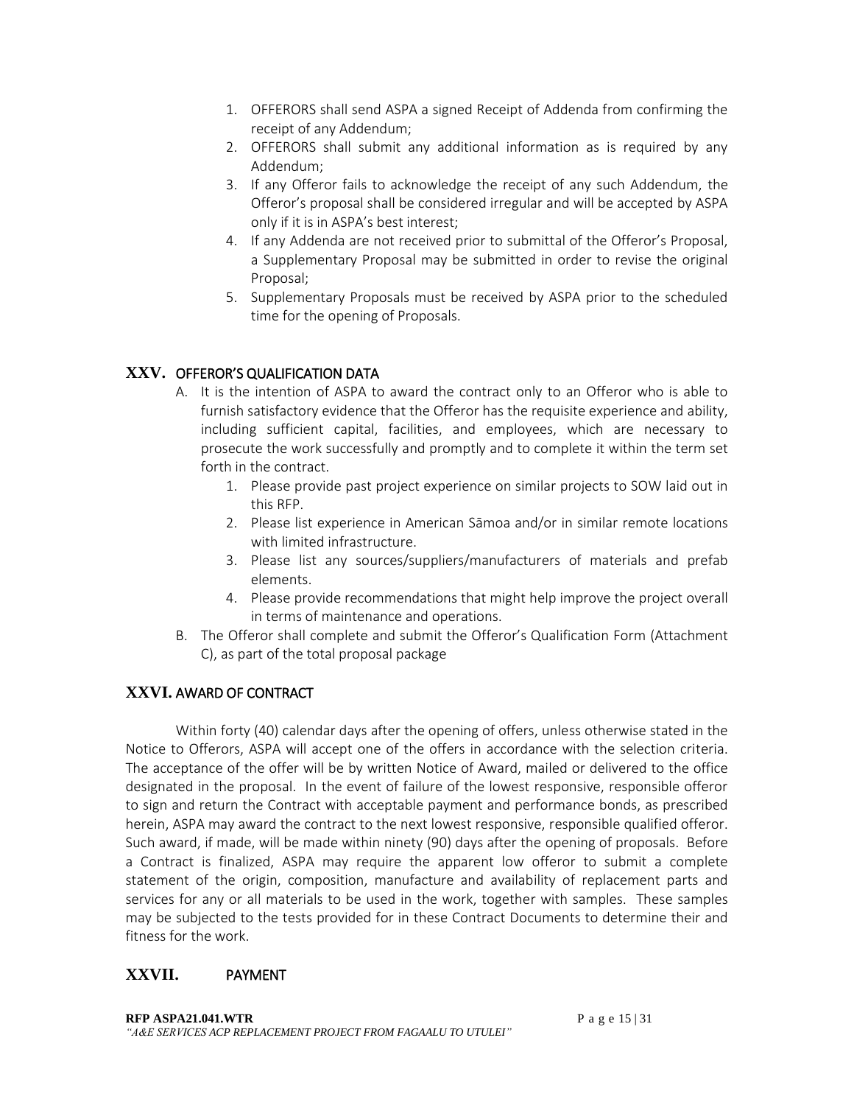- 1. OFFERORS shall send ASPA a signed Receipt of Addenda from confirming the receipt of any Addendum;
- 2. OFFERORS shall submit any additional information as is required by any Addendum;
- 3. If any Offeror fails to acknowledge the receipt of any such Addendum, the Offeror's proposal shall be considered irregular and will be accepted by ASPA only if it is in ASPA's best interest;
- 4. If any Addenda are not received prior to submittal of the Offeror's Proposal, a Supplementary Proposal may be submitted in order to revise the original Proposal;
- 5. Supplementary Proposals must be received by ASPA prior to the scheduled time for the opening of Proposals.

### **XXV.** OFFEROR'S QUALIFICATION DATA

- A. It is the intention of ASPA to award the contract only to an Offeror who is able to furnish satisfactory evidence that the Offeror has the requisite experience and ability, including sufficient capital, facilities, and employees, which are necessary to prosecute the work successfully and promptly and to complete it within the term set forth in the contract.
	- 1. Please provide past project experience on similar projects to SOW laid out in this RFP.
	- 2. Please list experience in American Sāmoa and/or in similar remote locations with limited infrastructure.
	- 3. Please list any sources/suppliers/manufacturers of materials and prefab elements.
	- 4. Please provide recommendations that might help improve the project overall in terms of maintenance and operations.
- B. The Offeror shall complete and submit the Offeror's Qualification Form (Attachment C), as part of the total proposal package

### **XXVI.** AWARD OF CONTRACT

Within forty (40) calendar days after the opening of offers, unless otherwise stated in the Notice to Offerors, ASPA will accept one of the offers in accordance with the selection criteria. The acceptance of the offer will be by written Notice of Award, mailed or delivered to the office designated in the proposal. In the event of failure of the lowest responsive, responsible offeror to sign and return the Contract with acceptable payment and performance bonds, as prescribed herein, ASPA may award the contract to the next lowest responsive, responsible qualified offeror. Such award, if made, will be made within ninety (90) days after the opening of proposals. Before a Contract is finalized, ASPA may require the apparent low offeror to submit a complete statement of the origin, composition, manufacture and availability of replacement parts and services for any or all materials to be used in the work, together with samples. These samples may be subjected to the tests provided for in these Contract Documents to determine their and fitness for the work.

### **XXVII.** PAYMENT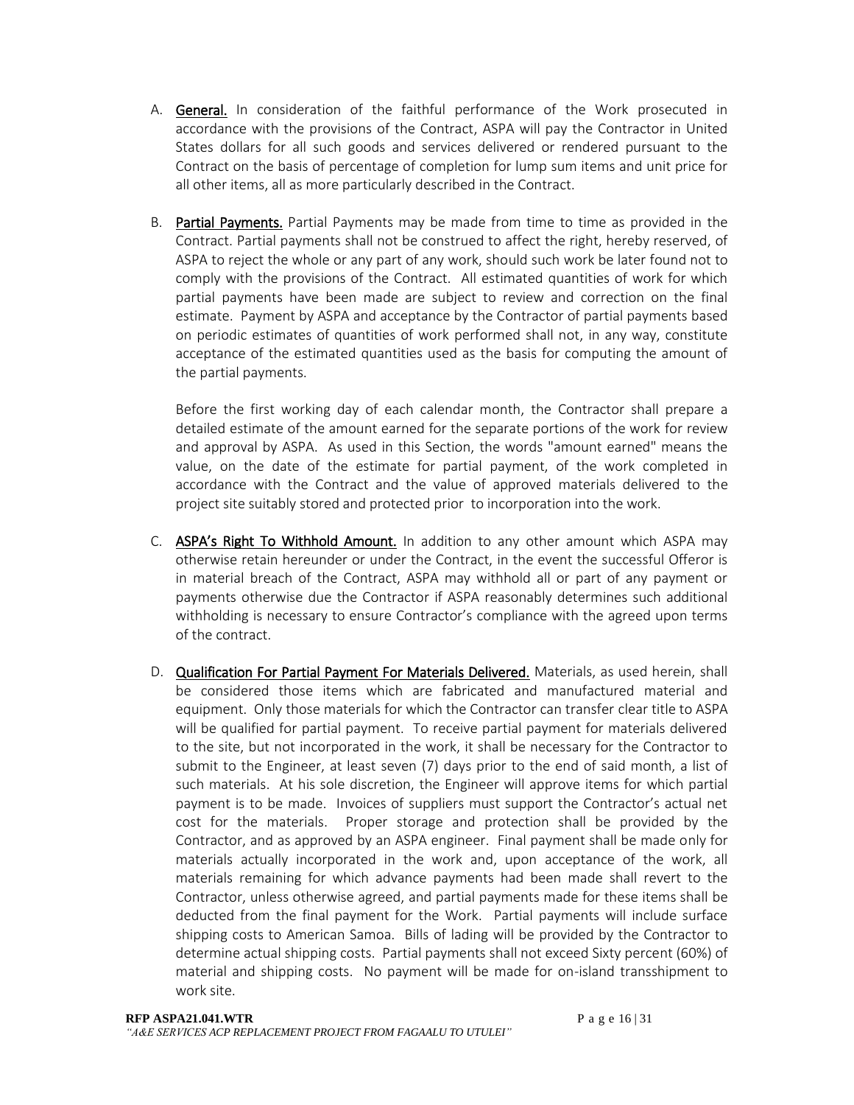- A. General. In consideration of the faithful performance of the Work prosecuted in accordance with the provisions of the Contract, ASPA will pay the Contractor in United States dollars for all such goods and services delivered or rendered pursuant to the Contract on the basis of percentage of completion for lump sum items and unit price for all other items, all as more particularly described in the Contract.
- B. Partial Payments. Partial Payments may be made from time to time as provided in the Contract. Partial payments shall not be construed to affect the right, hereby reserved, of ASPA to reject the whole or any part of any work, should such work be later found not to comply with the provisions of the Contract. All estimated quantities of work for which partial payments have been made are subject to review and correction on the final estimate. Payment by ASPA and acceptance by the Contractor of partial payments based on periodic estimates of quantities of work performed shall not, in any way, constitute acceptance of the estimated quantities used as the basis for computing the amount of the partial payments.

Before the first working day of each calendar month, the Contractor shall prepare a detailed estimate of the amount earned for the separate portions of the work for review and approval by ASPA. As used in this Section, the words "amount earned" means the value, on the date of the estimate for partial payment, of the work completed in accordance with the Contract and the value of approved materials delivered to the project site suitably stored and protected prior to incorporation into the work.

- C. ASPA's Right To Withhold Amount. In addition to any other amount which ASPA may otherwise retain hereunder or under the Contract, in the event the successful Offeror is in material breach of the Contract, ASPA may withhold all or part of any payment or payments otherwise due the Contractor if ASPA reasonably determines such additional withholding is necessary to ensure Contractor's compliance with the agreed upon terms of the contract.
- D. Qualification For Partial Payment For Materials Delivered. Materials, as used herein, shall be considered those items which are fabricated and manufactured material and equipment. Only those materials for which the Contractor can transfer clear title to ASPA will be qualified for partial payment. To receive partial payment for materials delivered to the site, but not incorporated in the work, it shall be necessary for the Contractor to submit to the Engineer, at least seven (7) days prior to the end of said month, a list of such materials. At his sole discretion, the Engineer will approve items for which partial payment is to be made. Invoices of suppliers must support the Contractor's actual net cost for the materials. Proper storage and protection shall be provided by the Contractor, and as approved by an ASPA engineer. Final payment shall be made only for materials actually incorporated in the work and, upon acceptance of the work, all materials remaining for which advance payments had been made shall revert to the Contractor, unless otherwise agreed, and partial payments made for these items shall be deducted from the final payment for the Work. Partial payments will include surface shipping costs to American Samoa. Bills of lading will be provided by the Contractor to determine actual shipping costs. Partial payments shall not exceed Sixty percent (60%) of material and shipping costs. No payment will be made for on-island transshipment to work site.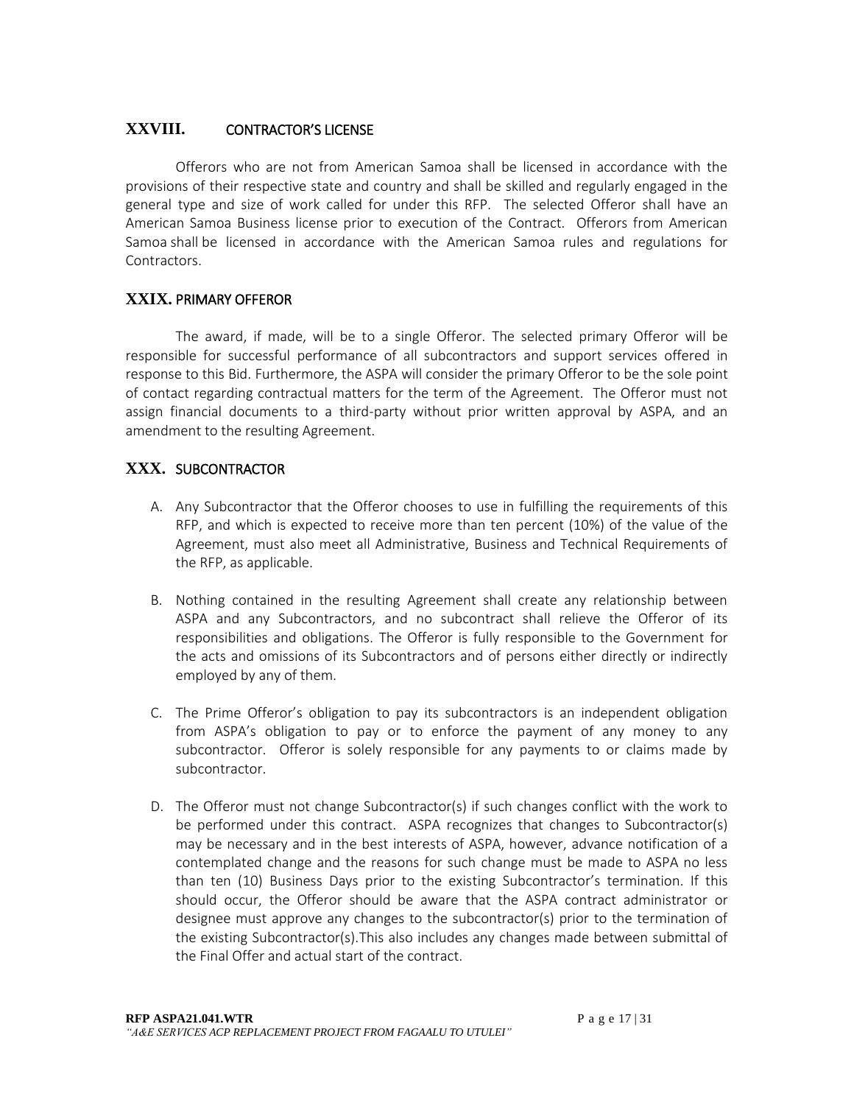#### **XXVIII.** CONTRACTOR'S LICENSE

Offerors who are not from American Samoa shall be licensed in accordance with the provisions of their respective state and country and shall be skilled and regularly engaged in the general type and size of work called for under this RFP. The selected Offeror shall have an American Samoa Business license prior to execution of the Contract. Offerors from American Samoa shall be licensed in accordance with the American Samoa rules and regulations for Contractors.

#### **XXIX.** PRIMARY OFFEROR

The award, if made, will be to a single Offeror. The selected primary Offeror will be responsible for successful performance of all subcontractors and support services offered in response to this Bid. Furthermore, the ASPA will consider the primary Offeror to be the sole point of contact regarding contractual matters for the term of the Agreement. The Offeror must not assign financial documents to a third-party without prior written approval by ASPA, and an amendment to the resulting Agreement.

#### **XXX.** SUBCONTRACTOR

- A. Any Subcontractor that the Offeror chooses to use in fulfilling the requirements of this RFP, and which is expected to receive more than ten percent (10%) of the value of the Agreement, must also meet all Administrative, Business and Technical Requirements of the RFP, as applicable.
- B. Nothing contained in the resulting Agreement shall create any relationship between ASPA and any Subcontractors, and no subcontract shall relieve the Offeror of its responsibilities and obligations. The Offeror is fully responsible to the Government for the acts and omissions of its Subcontractors and of persons either directly or indirectly employed by any of them.
- C. The Prime Offeror's obligation to pay its subcontractors is an independent obligation from ASPA's obligation to pay or to enforce the payment of any money to any subcontractor. Offeror is solely responsible for any payments to or claims made by subcontractor.
- D. The Offeror must not change Subcontractor(s) if such changes conflict with the work to be performed under this contract. ASPA recognizes that changes to Subcontractor(s) may be necessary and in the best interests of ASPA, however, advance notification of a contemplated change and the reasons for such change must be made to ASPA no less than ten (10) Business Days prior to the existing Subcontractor's termination. If this should occur, the Offeror should be aware that the ASPA contract administrator or designee must approve any changes to the subcontractor(s) prior to the termination of the existing Subcontractor(s).This also includes any changes made between submittal of the Final Offer and actual start of the contract.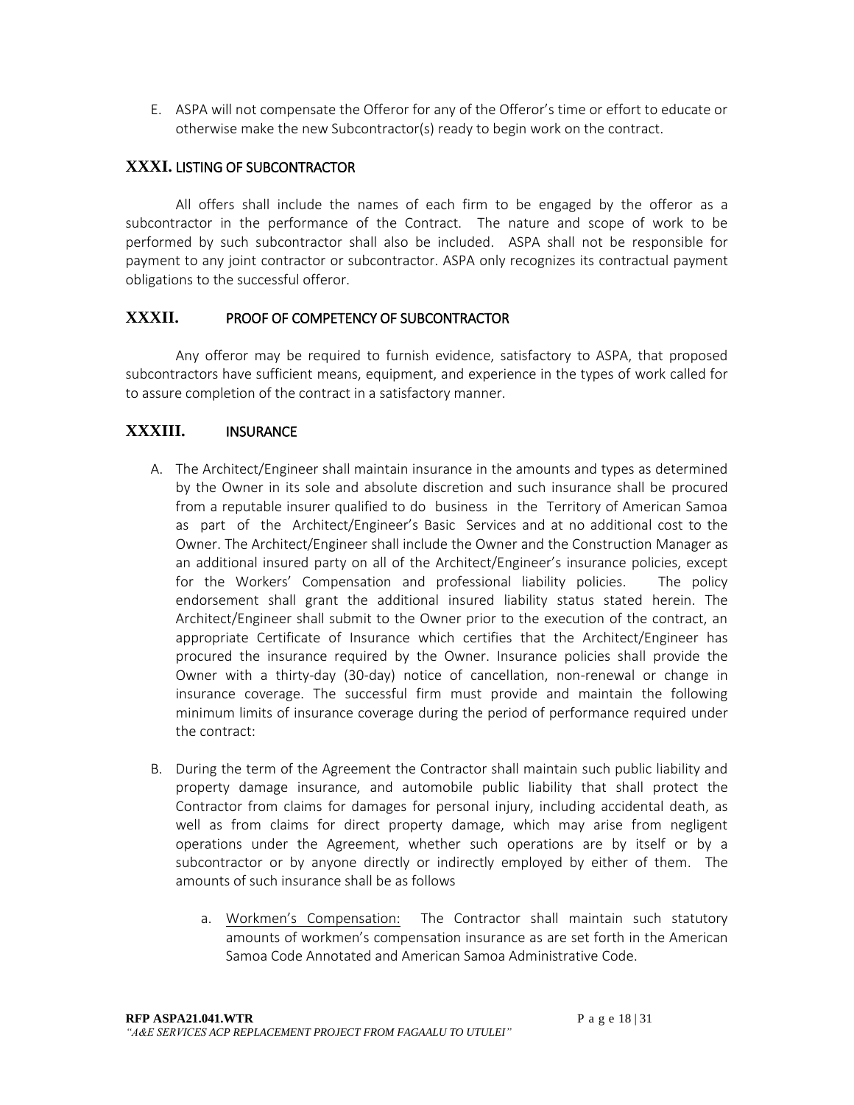E. ASPA will not compensate the Offeror for any of the Offeror's time or effort to educate or otherwise make the new Subcontractor(s) ready to begin work on the contract.

### **XXXI.** LISTING OF SUBCONTRACTOR

All offers shall include the names of each firm to be engaged by the offeror as a subcontractor in the performance of the Contract. The nature and scope of work to be performed by such subcontractor shall also be included. ASPA shall not be responsible for payment to any joint contractor or subcontractor. ASPA only recognizes its contractual payment obligations to the successful offeror.

### **XXXII.** PROOF OF COMPETENCY OF SUBCONTRACTOR

Any offeror may be required to furnish evidence, satisfactory to ASPA, that proposed subcontractors have sufficient means, equipment, and experience in the types of work called for to assure completion of the contract in a satisfactory manner.

#### **XXXIII.** INSURANCE

- A. The Architect/Engineer shall maintain insurance in the amounts and types as determined by the Owner in its sole and absolute discretion and such insurance shall be procured from a reputable insurer qualified to do business in the Territory of American Samoa as part of the Architect/Engineer's Basic Services and at no additional cost to the Owner. The Architect/Engineer shall include the Owner and the Construction Manager as an additional insured party on all of the Architect/Engineer's insurance policies, except for the Workers' Compensation and professional liability policies. The policy endorsement shall grant the additional insured liability status stated herein. The Architect/Engineer shall submit to the Owner prior to the execution of the contract, an appropriate Certificate of Insurance which certifies that the Architect/Engineer has procured the insurance required by the Owner. Insurance policies shall provide the Owner with a thirty-day (30-day) notice of cancellation, non-renewal or change in insurance coverage. The successful firm must provide and maintain the following minimum limits of insurance coverage during the period of performance required under the contract:
- B. During the term of the Agreement the Contractor shall maintain such public liability and property damage insurance, and automobile public liability that shall protect the Contractor from claims for damages for personal injury, including accidental death, as well as from claims for direct property damage, which may arise from negligent operations under the Agreement, whether such operations are by itself or by a subcontractor or by anyone directly or indirectly employed by either of them. The amounts of such insurance shall be as follows
	- a. Workmen's Compensation: The Contractor shall maintain such statutory amounts of workmen's compensation insurance as are set forth in the American Samoa Code Annotated and American Samoa Administrative Code.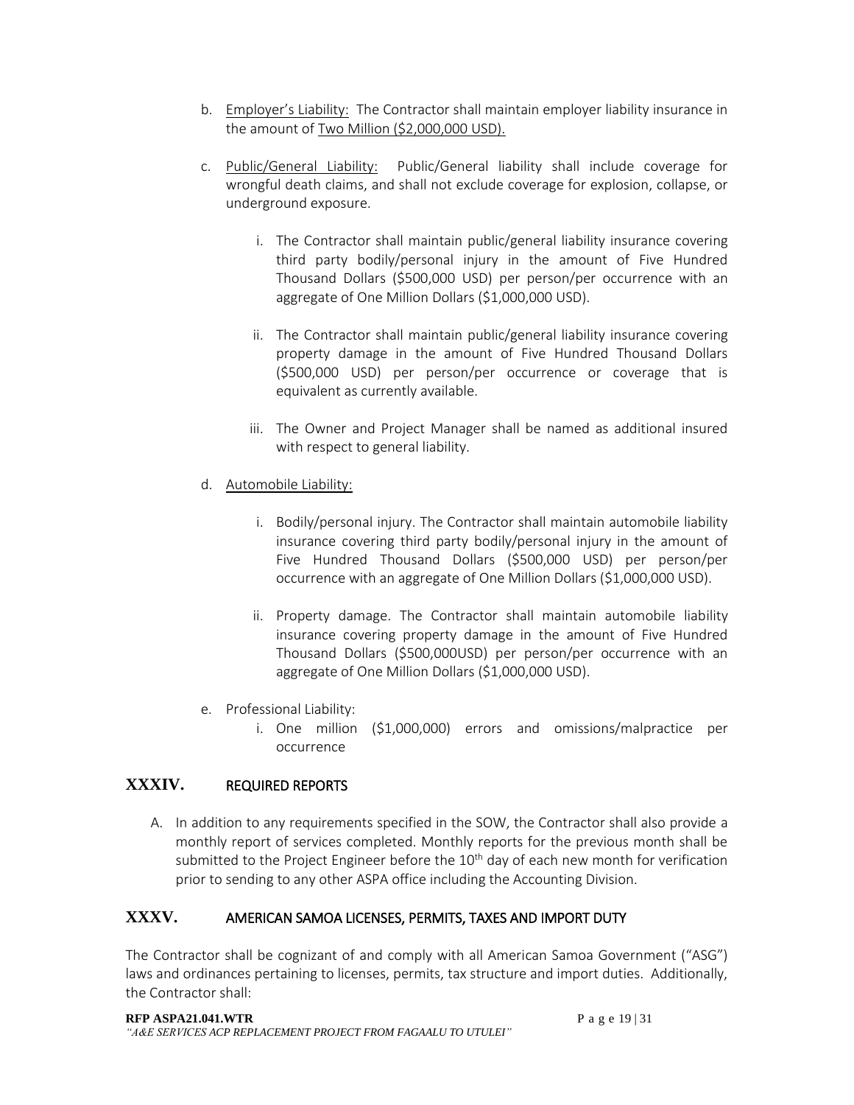- b. Employer's Liability: The Contractor shall maintain employer liability insurance in the amount of Two Million (\$2,000,000 USD).
- c. Public/General Liability: Public/General liability shall include coverage for wrongful death claims, and shall not exclude coverage for explosion, collapse, or underground exposure.
	- i. The Contractor shall maintain public/general liability insurance covering third party bodily/personal injury in the amount of Five Hundred Thousand Dollars (\$500,000 USD) per person/per occurrence with an aggregate of One Million Dollars (\$1,000,000 USD).
	- ii. The Contractor shall maintain public/general liability insurance covering property damage in the amount of Five Hundred Thousand Dollars (\$500,000 USD) per person/per occurrence or coverage that is equivalent as currently available.
	- iii. The Owner and Project Manager shall be named as additional insured with respect to general liability.
- d. Automobile Liability:
	- i. Bodily/personal injury. The Contractor shall maintain automobile liability insurance covering third party bodily/personal injury in the amount of Five Hundred Thousand Dollars (\$500,000 USD) per person/per occurrence with an aggregate of One Million Dollars (\$1,000,000 USD).
	- ii. Property damage. The Contractor shall maintain automobile liability insurance covering property damage in the amount of Five Hundred Thousand Dollars (\$500,000USD) per person/per occurrence with an aggregate of One Million Dollars (\$1,000,000 USD).
- e. Professional Liability:
	- i. One million (\$1,000,000) errors and omissions/malpractice per occurrence

# **XXXIV.** REQUIRED REPORTS

A. In addition to any requirements specified in the SOW, the Contractor shall also provide a monthly report of services completed. Monthly reports for the previous month shall be submitted to the Project Engineer before the  $10<sup>th</sup>$  day of each new month for verification prior to sending to any other ASPA office including the Accounting Division.

# **XXXV.** AMERICAN SAMOA LICENSES, PERMITS, TAXES AND IMPORT DUTY

The Contractor shall be cognizant of and comply with all American Samoa Government ("ASG") laws and ordinances pertaining to licenses, permits, tax structure and import duties. Additionally, the Contractor shall: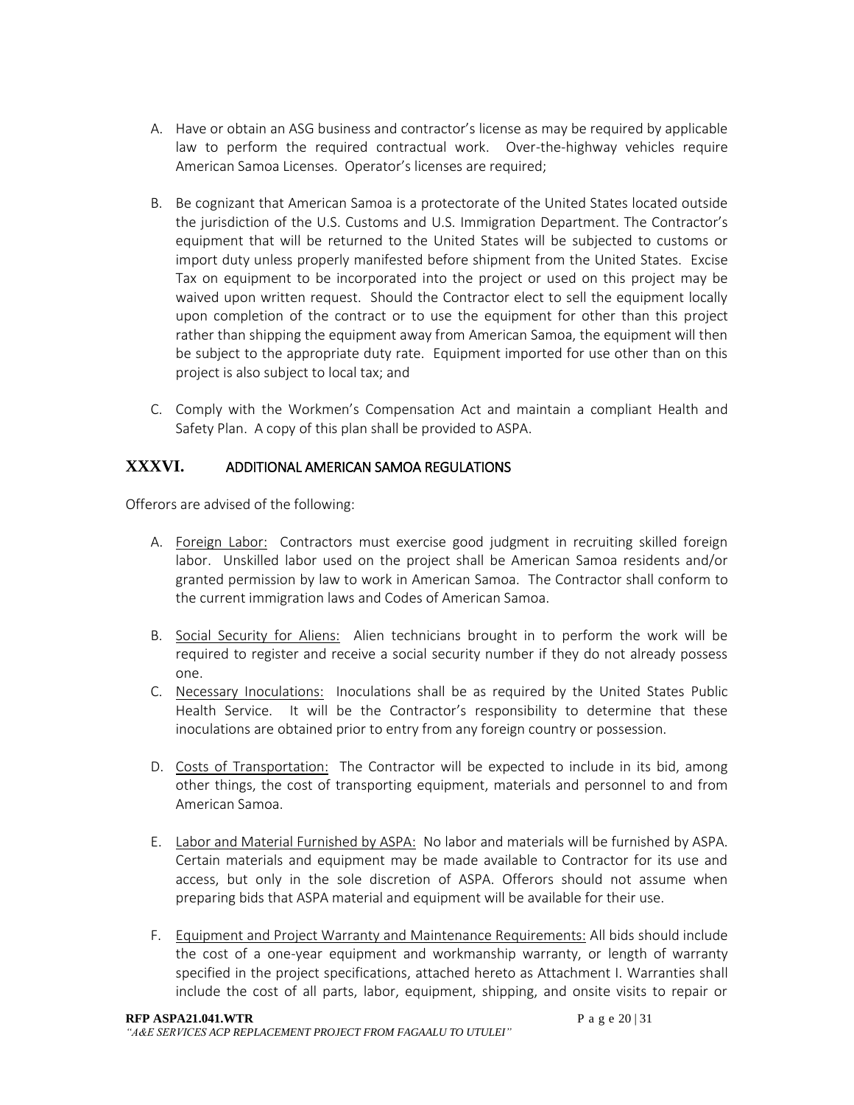- A. Have or obtain an ASG business and contractor's license as may be required by applicable law to perform the required contractual work. Over-the-highway vehicles require American Samoa Licenses. Operator's licenses are required;
- B. Be cognizant that American Samoa is a protectorate of the United States located outside the jurisdiction of the U.S. Customs and U.S. Immigration Department. The Contractor's equipment that will be returned to the United States will be subjected to customs or import duty unless properly manifested before shipment from the United States. Excise Tax on equipment to be incorporated into the project or used on this project may be waived upon written request. Should the Contractor elect to sell the equipment locally upon completion of the contract or to use the equipment for other than this project rather than shipping the equipment away from American Samoa, the equipment will then be subject to the appropriate duty rate. Equipment imported for use other than on this project is also subject to local tax; and
- C. Comply with the Workmen's Compensation Act and maintain a compliant Health and Safety Plan. A copy of this plan shall be provided to ASPA.

### **XXXVI.** ADDITIONAL AMERICAN SAMOA REGULATIONS

Offerors are advised of the following:

- A. Foreign\_Labor: Contractors must exercise good judgment in recruiting skilled foreign labor. Unskilled labor used on the project shall be American Samoa residents and/or granted permission by law to work in American Samoa. The Contractor shall conform to the current immigration laws and Codes of American Samoa.
- B. Social Security for Aliens: Alien technicians brought in to perform the work will be required to register and receive a social security number if they do not already possess one.
- C. Necessary Inoculations: Inoculations shall be as required by the United States Public Health Service. It will be the Contractor's responsibility to determine that these inoculations are obtained prior to entry from any foreign country or possession.
- D. Costs of Transportation: The Contractor will be expected to include in its bid, among other things, the cost of transporting equipment, materials and personnel to and from American Samoa.
- E. Labor and Material Furnished by ASPA: No labor and materials will be furnished by ASPA. Certain materials and equipment may be made available to Contractor for its use and access, but only in the sole discretion of ASPA. Offerors should not assume when preparing bids that ASPA material and equipment will be available for their use.
- F. Equipment and Project Warranty and Maintenance Requirements: All bids should include the cost of a one-year equipment and workmanship warranty, or length of warranty specified in the project specifications, attached hereto as Attachment I. Warranties shall include the cost of all parts, labor, equipment, shipping, and onsite visits to repair or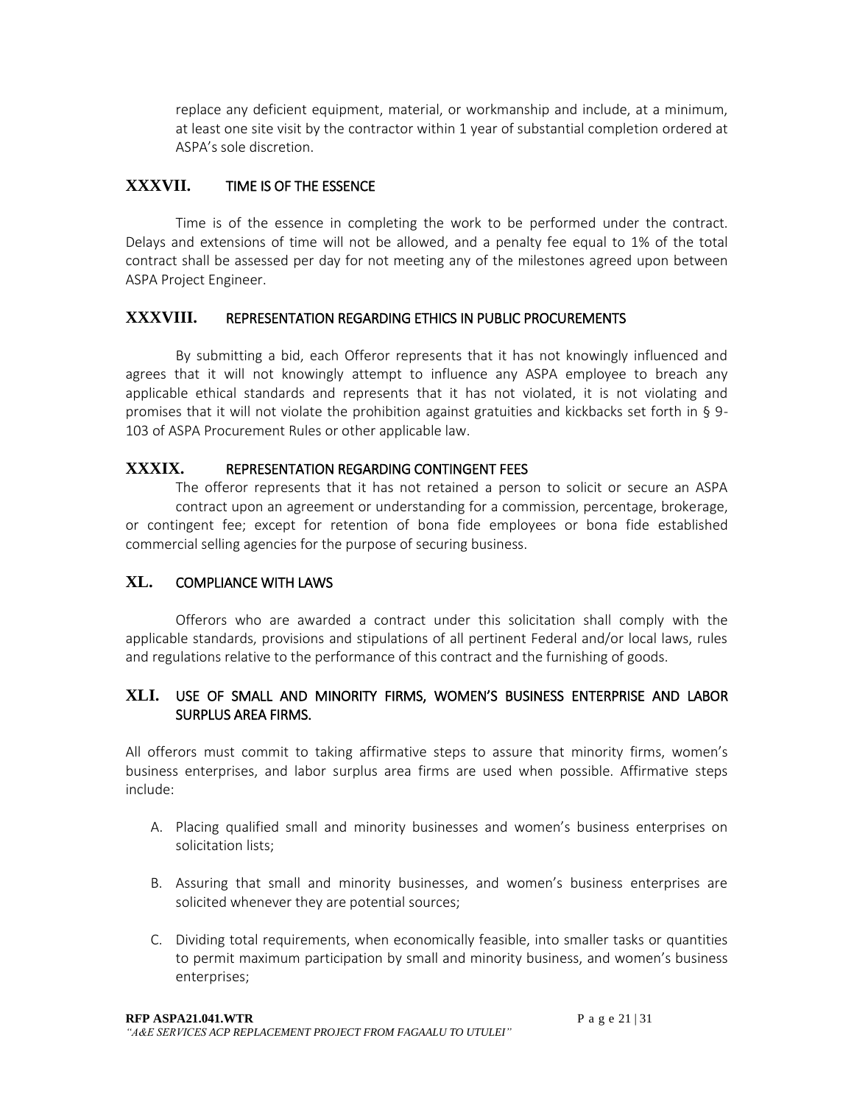replace any deficient equipment, material, or workmanship and include, at a minimum, at least one site visit by the contractor within 1 year of substantial completion ordered at ASPA's sole discretion.

### **XXXVII.** TIME IS OF THE ESSENCE

Time is of the essence in completing the work to be performed under the contract. Delays and extensions of time will not be allowed, and a penalty fee equal to 1% of the total contract shall be assessed per day for not meeting any of the milestones agreed upon between ASPA Project Engineer.

#### **XXXVIII.** REPRESENTATION REGARDING ETHICS IN PUBLIC PROCUREMENTS

By submitting a bid, each Offeror represents that it has not knowingly influenced and agrees that it will not knowingly attempt to influence any ASPA employee to breach any applicable ethical standards and represents that it has not violated, it is not violating and promises that it will not violate the prohibition against gratuities and kickbacks set forth in § 9- 103 of ASPA Procurement Rules or other applicable law.

#### **XXXIX.** REPRESENTATION REGARDING CONTINGENT FEES

The offeror represents that it has not retained a person to solicit or secure an ASPA contract upon an agreement or understanding for a commission, percentage, brokerage, or contingent fee; except for retention of bona fide employees or bona fide established commercial selling agencies for the purpose of securing business.

### **XL.** COMPLIANCE WITH LAWS

Offerors who are awarded a contract under this solicitation shall comply with the applicable standards, provisions and stipulations of all pertinent Federal and/or local laws, rules and regulations relative to the performance of this contract and the furnishing of goods.

#### **XLI.** USE OF SMALL AND MINORITY FIRMS, WOMEN'S BUSINESS ENTERPRISE AND LABOR SURPLUS AREA FIRMS.

All offerors must commit to taking affirmative steps to assure that minority firms, women's business enterprises, and labor surplus area firms are used when possible. Affirmative steps include:

- A. Placing qualified small and minority businesses and women's business enterprises on solicitation lists;
- B. Assuring that small and minority businesses, and women's business enterprises are solicited whenever they are potential sources;
- C. Dividing total requirements, when economically feasible, into smaller tasks or quantities to permit maximum participation by small and minority business, and women's business enterprises;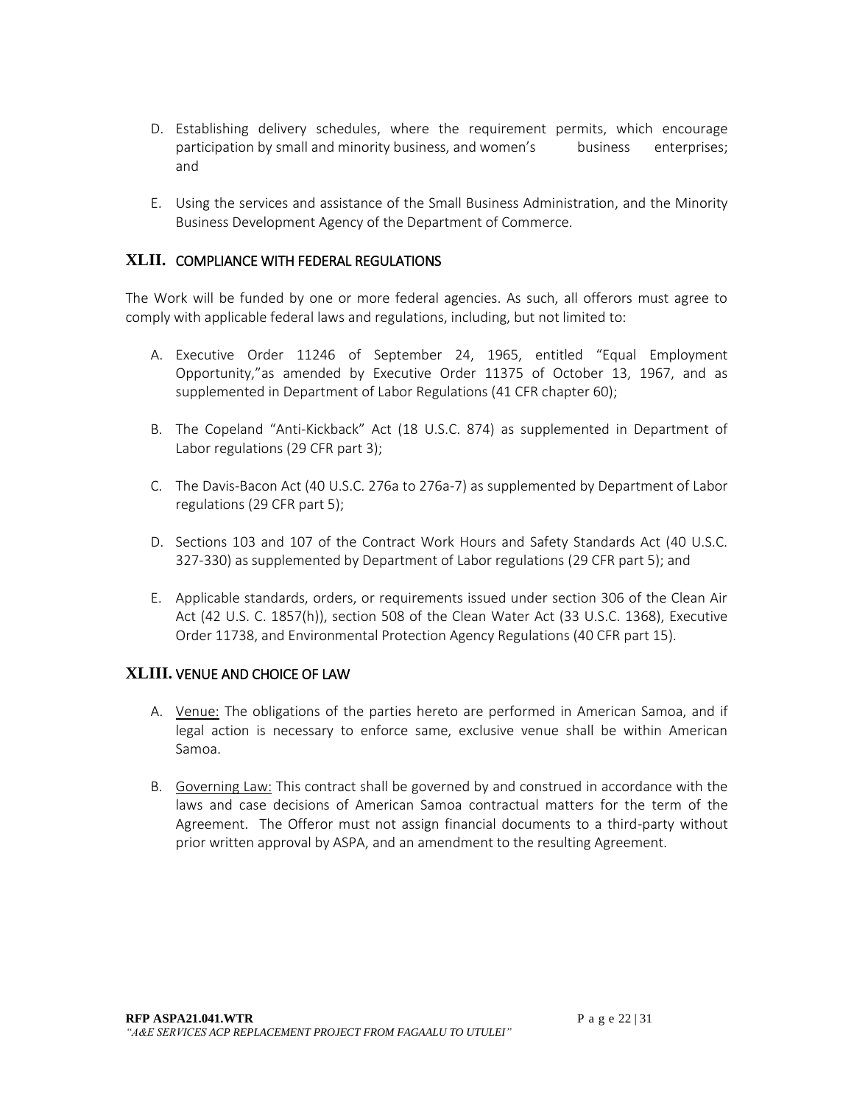- D. Establishing delivery schedules, where the requirement permits, which encourage participation by small and minority business, and women's business enterprises; and
- E. Using the services and assistance of the Small Business Administration, and the Minority Business Development Agency of the Department of Commerce.

### **XLII.** COMPLIANCE WITH FEDERAL REGULATIONS

The Work will be funded by one or more federal agencies. As such, all offerors must agree to comply with applicable federal laws and regulations, including, but not limited to:

- A. Executive Order 11246 of September 24, 1965, entitled "Equal Employment Opportunity,"as amended by Executive Order 11375 of October 13, 1967, and as supplemented in Department of Labor Regulations (41 CFR chapter 60);
- B. The Copeland "Anti-Kickback" Act (18 U.S.C. 874) as supplemented in Department of Labor regulations (29 CFR part 3);
- C. The Davis-Bacon Act (40 U.S.C. 276a to 276a-7) as supplemented by Department of Labor regulations (29 CFR part 5);
- D. Sections 103 and 107 of the Contract Work Hours and Safety Standards Act (40 U.S.C. 327-330) as supplemented by Department of Labor regulations (29 CFR part 5); and
- E. Applicable standards, orders, or requirements issued under section 306 of the Clean Air Act (42 U.S. C. 1857(h)), section 508 of the Clean Water Act (33 U.S.C. 1368), Executive Order 11738, and Environmental Protection Agency Regulations (40 CFR part 15).

### **XLIII.** VENUE AND CHOICE OF LAW

- A. Venue: The obligations of the parties hereto are performed in American Samoa, and if legal action is necessary to enforce same, exclusive venue shall be within American Samoa.
- B. Governing Law: This contract shall be governed by and construed in accordance with the laws and case decisions of American Samoa contractual matters for the term of the Agreement. The Offeror must not assign financial documents to a third-party without prior written approval by ASPA, and an amendment to the resulting Agreement.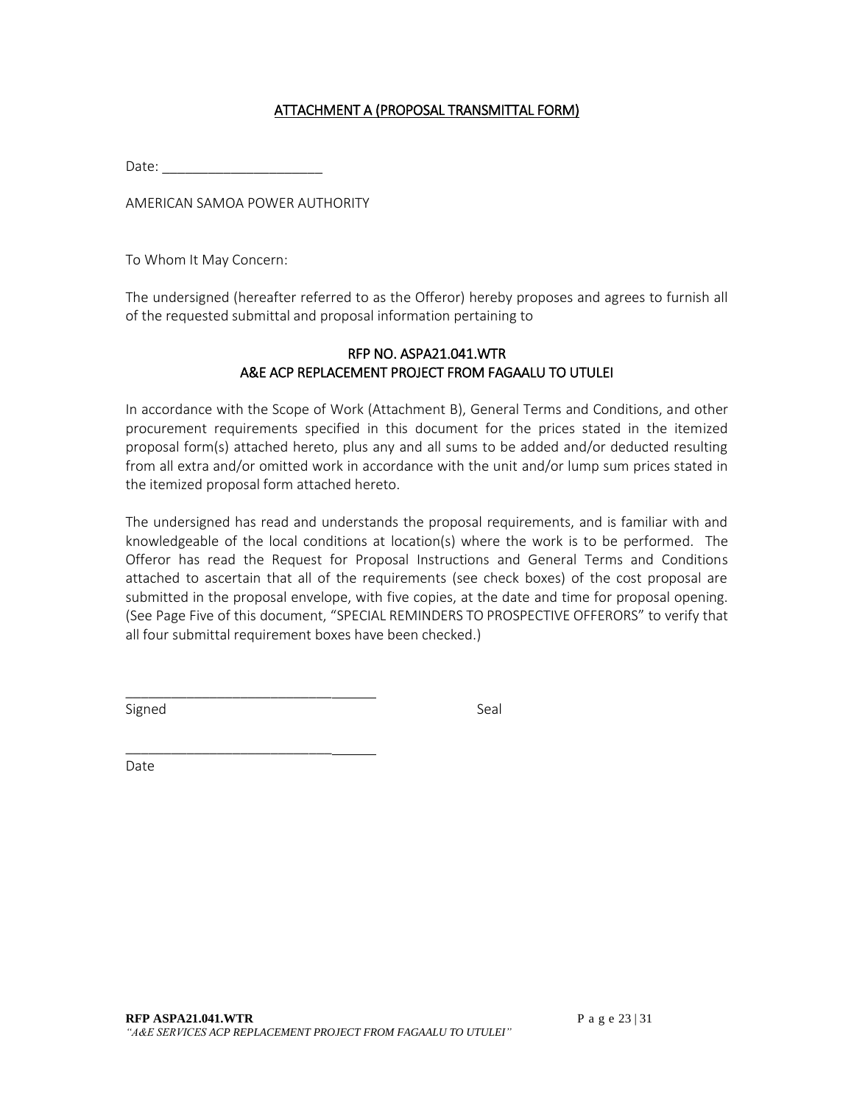#### ATTACHMENT A (PROPOSAL TRANSMITTAL FORM)

Date:

AMERICAN SAMOA POWER AUTHORITY

To Whom It May Concern:

The undersigned (hereafter referred to as the Offeror) hereby proposes and agrees to furnish all of the requested submittal and proposal information pertaining to

#### RFP NO. ASPA21.041.WTR A&E ACP REPLACEMENT PROJECT FROM FAGAALU TO UTULEI

In accordance with the Scope of Work (Attachment B), General Terms and Conditions, and other procurement requirements specified in this document for the prices stated in the itemized proposal form(s) attached hereto, plus any and all sums to be added and/or deducted resulting from all extra and/or omitted work in accordance with the unit and/or lump sum prices stated in the itemized proposal form attached hereto.

The undersigned has read and understands the proposal requirements, and is familiar with and knowledgeable of the local conditions at location(s) where the work is to be performed. The Offeror has read the Request for Proposal Instructions and General Terms and Conditions attached to ascertain that all of the requirements (see check boxes) of the cost proposal are submitted in the proposal envelope, with five copies, at the date and time for proposal opening. (See Page Five of this document, "SPECIAL REMINDERS TO PROSPECTIVE OFFERORS" to verify that all four submittal requirement boxes have been checked.)

Signed Seal and Seal and Seal and Seal and Seal and Seal and Seal and Seal and Seal and Seal and Seal and Seal

\_\_\_\_\_\_\_\_\_\_\_\_\_\_\_\_\_\_\_\_\_\_\_\_\_\_\_

\_\_\_\_\_\_\_\_\_\_\_\_\_\_\_\_\_\_\_\_\_\_\_\_\_\_\_

Date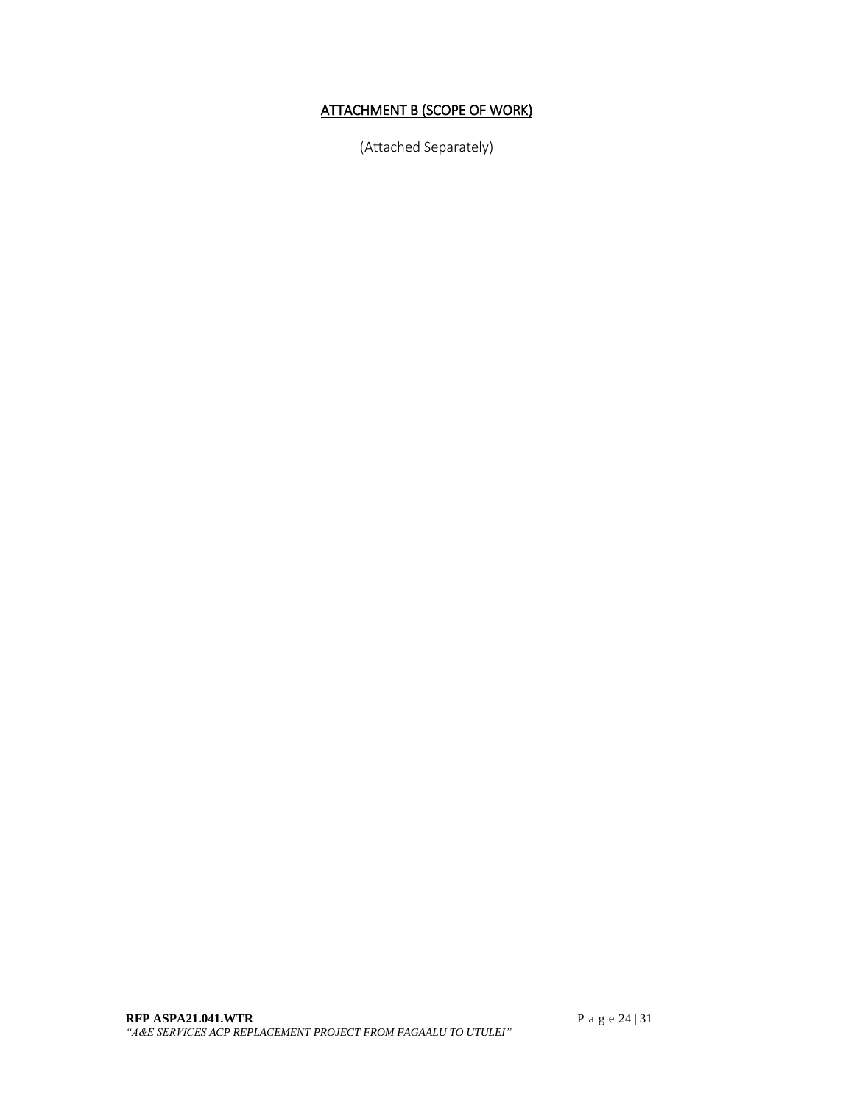# ATTACHMENT B (SCOPE OF WORK)

(Attached Separately)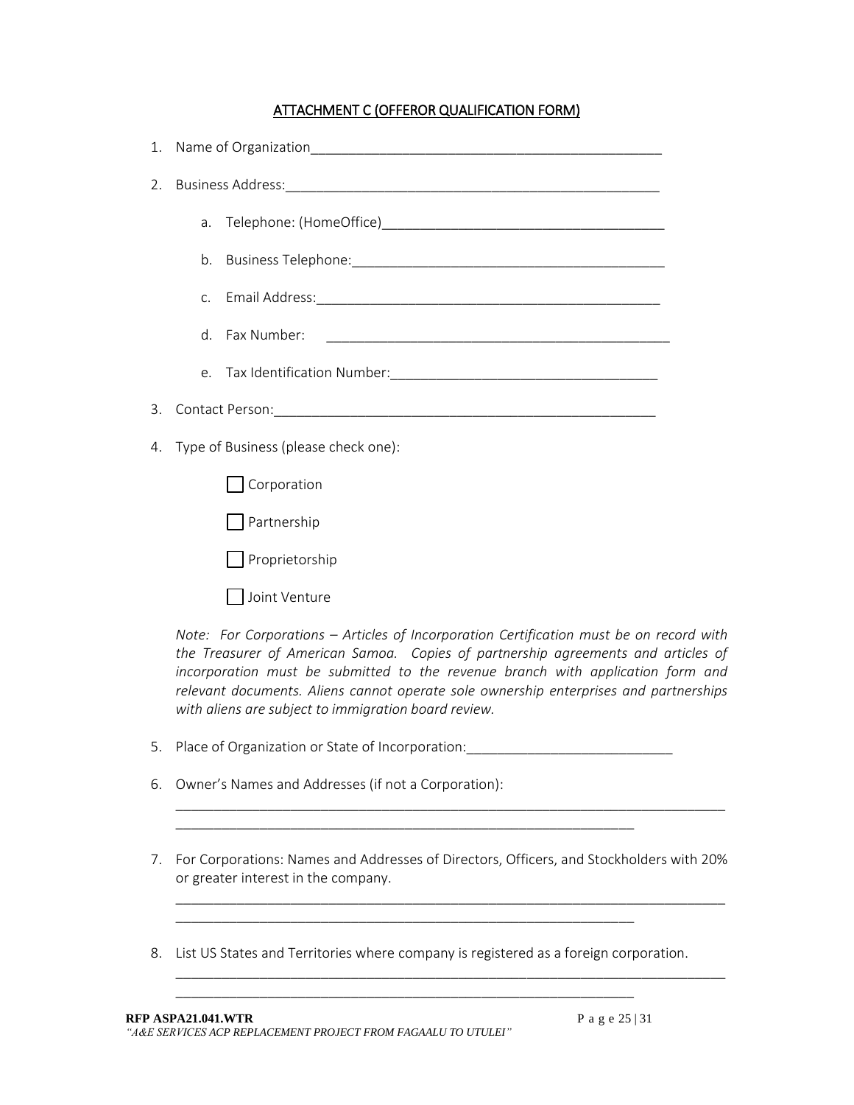### ATTACHMENT C (OFFEROR QUALIFICATION FORM)

| 1. | Name of Organization <b>Name of Organization</b>                                                                                                                                                                                                                |  |
|----|-----------------------------------------------------------------------------------------------------------------------------------------------------------------------------------------------------------------------------------------------------------------|--|
| 2. |                                                                                                                                                                                                                                                                 |  |
|    |                                                                                                                                                                                                                                                                 |  |
|    |                                                                                                                                                                                                                                                                 |  |
|    |                                                                                                                                                                                                                                                                 |  |
|    | d. Fax Number:                                                                                                                                                                                                                                                  |  |
|    |                                                                                                                                                                                                                                                                 |  |
| 3. |                                                                                                                                                                                                                                                                 |  |
| 4. | Type of Business (please check one):                                                                                                                                                                                                                            |  |
|    | Corporation                                                                                                                                                                                                                                                     |  |
|    | Partnership                                                                                                                                                                                                                                                     |  |
|    | Proprietorship                                                                                                                                                                                                                                                  |  |
|    | Joint Venture                                                                                                                                                                                                                                                   |  |
|    | Note: For Corporations - Articles of Incorporation Certification must be on record with<br>the Treasurer of American Samoa. Copies of partnership agreements and articles of<br>incorporation must be submitted to the revenue branch with application form and |  |

5. Place of Organization or State of Incorporation: \_\_\_\_\_\_\_\_\_\_\_\_\_\_\_\_\_\_\_\_\_\_\_\_\_\_\_\_

\_\_\_\_\_\_\_\_\_\_\_\_\_\_\_\_\_\_\_\_\_\_\_\_\_\_\_\_\_\_\_\_\_\_\_\_\_\_\_\_\_\_\_\_\_\_\_\_\_\_\_\_\_\_\_\_\_\_\_\_

\_\_\_\_\_\_\_\_\_\_\_\_\_\_\_\_\_\_\_\_\_\_\_\_\_\_\_\_\_\_\_\_\_\_\_\_\_\_\_\_\_\_\_\_\_\_\_\_\_\_\_\_\_\_\_\_\_\_\_\_

\_\_\_\_\_\_\_\_\_\_\_\_\_\_\_\_\_\_\_\_\_\_\_\_\_\_\_\_\_\_\_\_\_\_\_\_\_\_\_\_\_\_\_\_\_\_\_\_\_\_\_\_\_\_\_\_\_\_\_\_

6. Owner's Names and Addresses (if not a Corporation):

*with aliens are subject to immigration board review.* 

7. For Corporations: Names and Addresses of Directors, Officers, and Stockholders with 20% or greater interest in the company.

\_\_\_\_\_\_\_\_\_\_\_\_\_\_\_\_\_\_\_\_\_\_\_\_\_\_\_\_\_\_\_\_\_\_\_\_\_\_\_\_\_\_\_\_\_\_\_\_\_\_\_\_\_\_\_\_\_\_\_\_\_\_\_\_\_\_\_\_\_\_\_\_

\_\_\_\_\_\_\_\_\_\_\_\_\_\_\_\_\_\_\_\_\_\_\_\_\_\_\_\_\_\_\_\_\_\_\_\_\_\_\_\_\_\_\_\_\_\_\_\_\_\_\_\_\_\_\_\_\_\_\_\_\_\_\_\_\_\_\_\_\_\_\_\_

*relevant documents. Aliens cannot operate sole ownership enterprises and partnerships* 

\_\_\_\_\_\_\_\_\_\_\_\_\_\_\_\_\_\_\_\_\_\_\_\_\_\_\_\_\_\_\_\_\_\_\_\_\_\_\_\_\_\_\_\_\_\_\_\_\_\_\_\_\_\_\_\_\_\_\_\_\_\_\_\_\_\_\_\_\_\_\_\_

8. List US States and Territories where company is registered as a foreign corporation.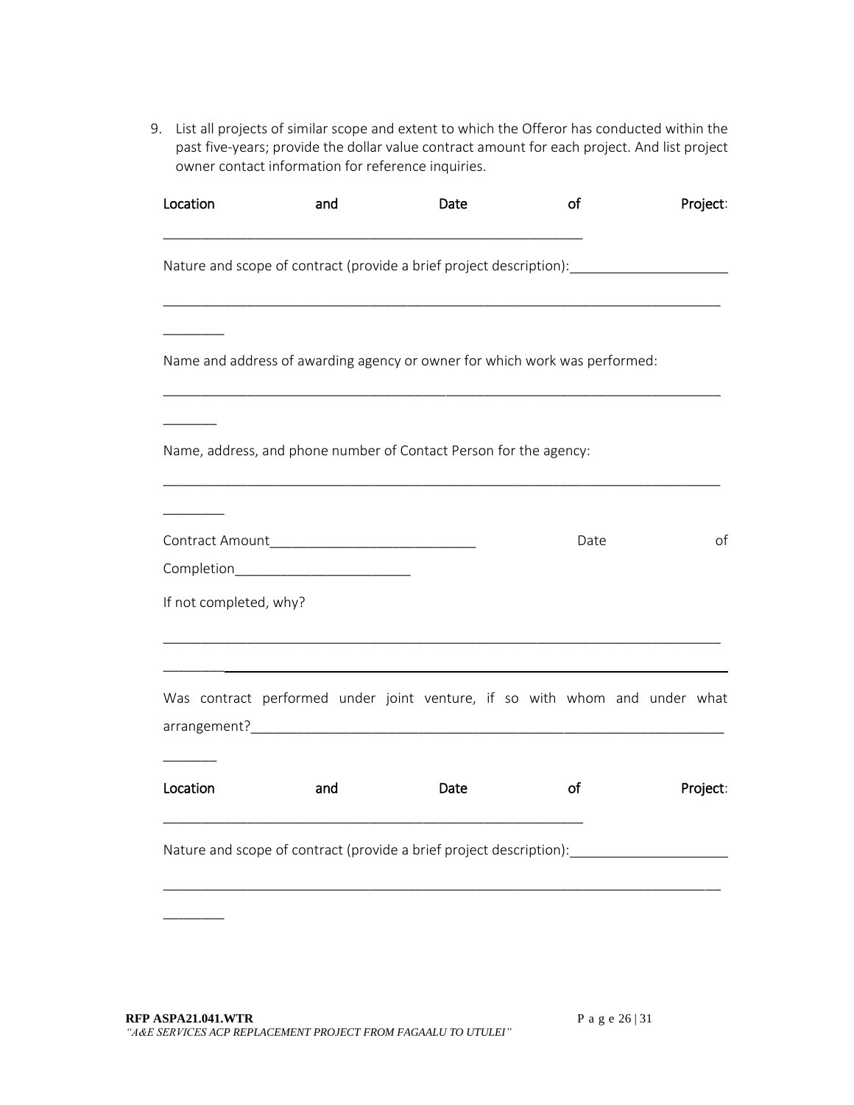9. List all projects of similar scope and extent to which the Offeror has conducted within the past five-years; provide the dollar value contract amount for each project. And list project owner contact information for reference inquiries.

| Location                                                                   | and | Date |  | of   |  | Project: |
|----------------------------------------------------------------------------|-----|------|--|------|--|----------|
|                                                                            |     |      |  |      |  |          |
| Name and address of awarding agency or owner for which work was performed: |     |      |  |      |  |          |
| Name, address, and phone number of Contact Person for the agency:          |     |      |  |      |  |          |
| Completion___________________________<br>If not completed, why?            |     |      |  | Date |  | οf       |
|                                                                            |     |      |  |      |  |          |
| Was contract performed under joint venture, if so with whom and under what |     |      |  |      |  |          |
| Location                                                                   | and | Date |  | οf   |  | Project: |
| Nature and scope of contract (provide a brief project description):        |     |      |  |      |  |          |
|                                                                            |     |      |  |      |  |          |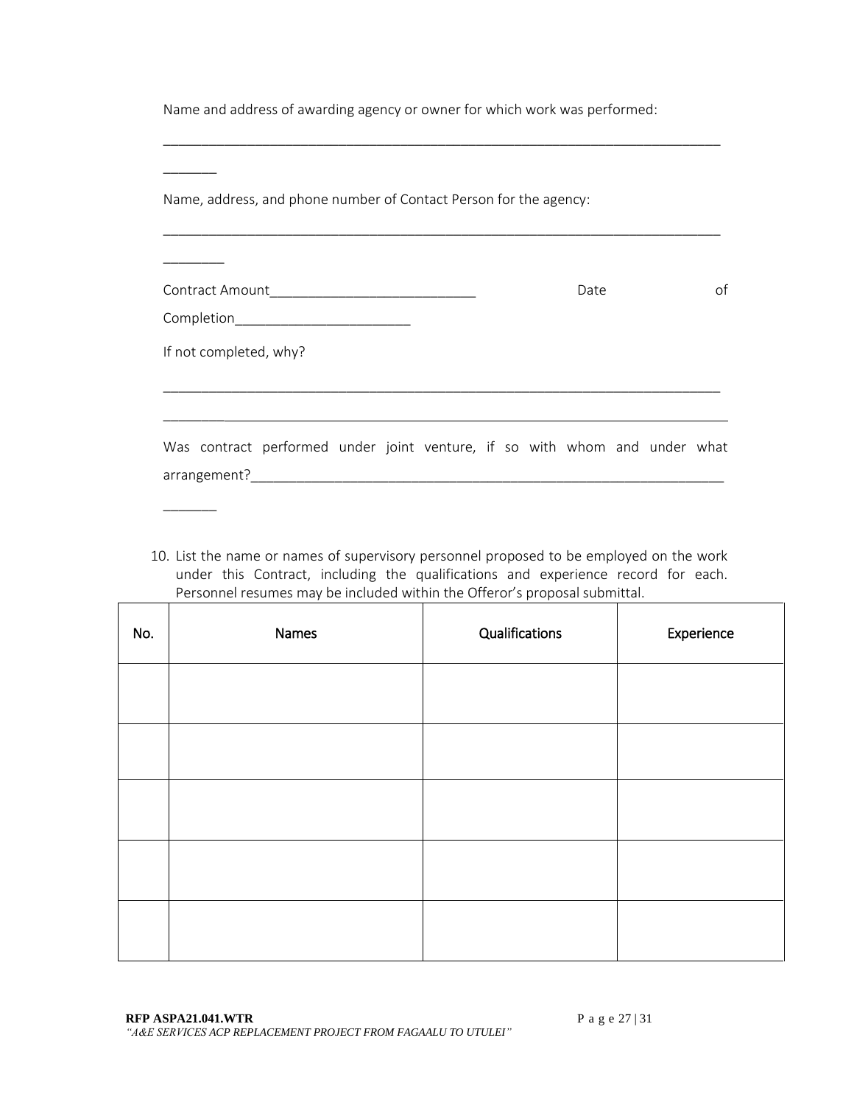Name and address of awarding agency or owner for which work was performed:

\_\_\_\_\_\_\_\_\_\_\_\_\_\_\_\_\_\_\_\_\_\_\_\_\_\_\_\_\_\_\_\_\_\_\_\_\_\_\_\_\_\_\_\_\_\_\_\_\_\_\_\_\_\_\_\_\_\_\_\_\_\_\_\_\_\_\_\_\_\_\_\_\_

| Name, address, and phone number of Contact Person for the agency:          |  |  |  |      |  |    |
|----------------------------------------------------------------------------|--|--|--|------|--|----|
|                                                                            |  |  |  |      |  |    |
|                                                                            |  |  |  | Date |  | οf |
| Completion___________________________                                      |  |  |  |      |  |    |
| If not completed, why?                                                     |  |  |  |      |  |    |
|                                                                            |  |  |  |      |  |    |
|                                                                            |  |  |  |      |  |    |
| Was contract performed under joint venture, if so with whom and under what |  |  |  |      |  |    |
|                                                                            |  |  |  |      |  |    |
|                                                                            |  |  |  |      |  |    |

10. List the name or names of supervisory personnel proposed to be employed on the work under this Contract, including the qualifications and experience record for each. Personnel resumes may be included within the Offeror's proposal submittal.

| No. | Names | Qualifications | Experience |
|-----|-------|----------------|------------|
|     |       |                |            |
|     |       |                |            |
|     |       |                |            |
|     |       |                |            |
|     |       |                |            |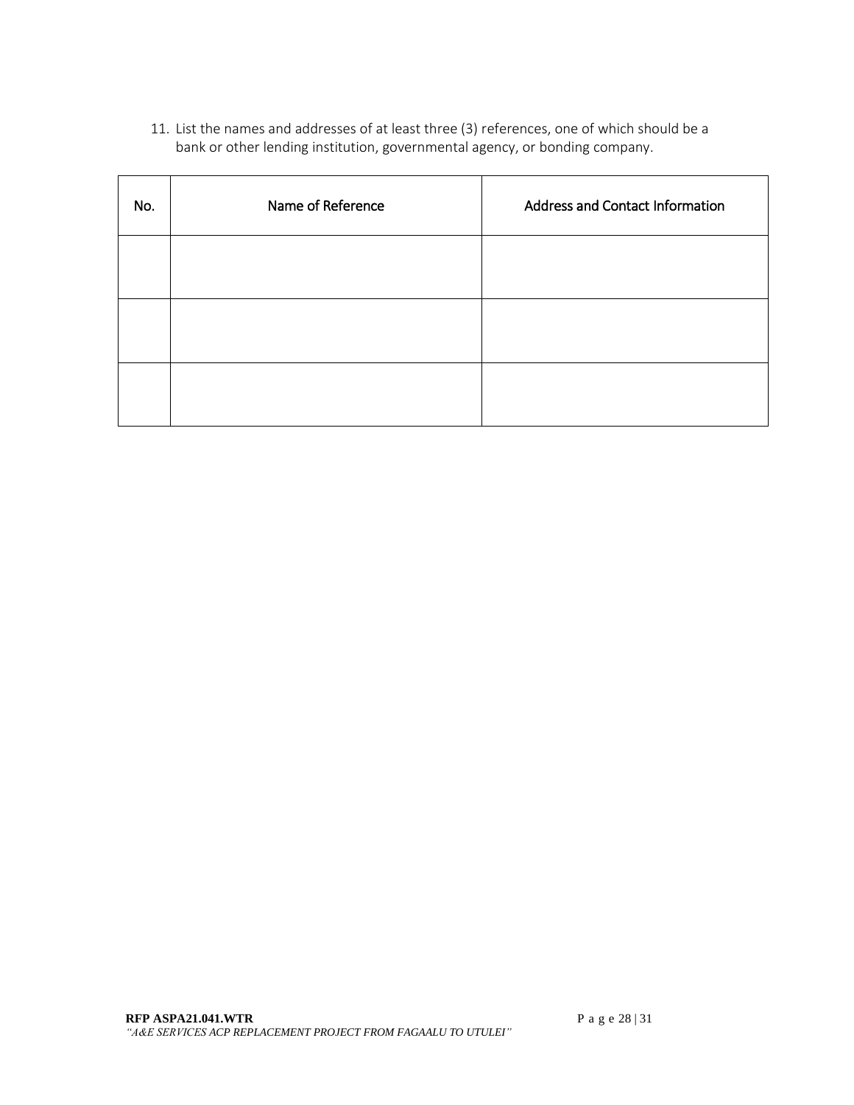11. List the names and addresses of at least three (3) references, one of which should be a bank or other lending institution, governmental agency, or bonding company.

| No. | Name of Reference | <b>Address and Contact Information</b> |  |
|-----|-------------------|----------------------------------------|--|
|     |                   |                                        |  |
|     |                   |                                        |  |
|     |                   |                                        |  |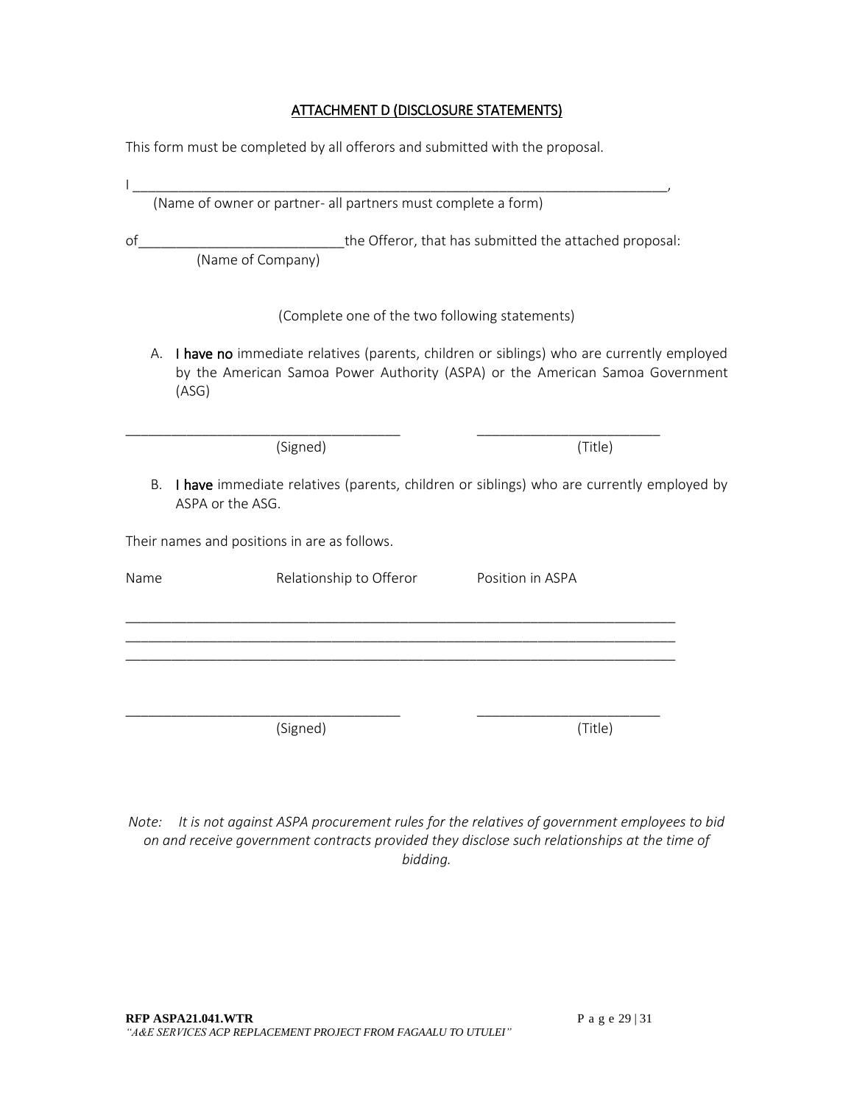#### ATTACHMENT D (DISCLOSURE STATEMENTS)

This form must be completed by all offerors and submitted with the proposal.

|      | (Name of owner or partner- all partners must complete a form)               |                                                                                                                                                                           |  |  |  |
|------|-----------------------------------------------------------------------------|---------------------------------------------------------------------------------------------------------------------------------------------------------------------------|--|--|--|
| of   | the Offeror, that has submitted the attached proposal:<br>(Name of Company) |                                                                                                                                                                           |  |  |  |
|      | (Complete one of the two following statements)                              |                                                                                                                                                                           |  |  |  |
| А.   | (ASG)                                                                       | I have no immediate relatives (parents, children or siblings) who are currently employed<br>by the American Samoa Power Authority (ASPA) or the American Samoa Government |  |  |  |
|      | (Signed)                                                                    | (Title)                                                                                                                                                                   |  |  |  |
| В.   | ASPA or the ASG.                                                            | I have immediate relatives (parents, children or siblings) who are currently employed by                                                                                  |  |  |  |
|      | Their names and positions in are as follows.                                |                                                                                                                                                                           |  |  |  |
| Name | Relationship to Offeror                                                     | Position in ASPA                                                                                                                                                          |  |  |  |
|      |                                                                             |                                                                                                                                                                           |  |  |  |
|      |                                                                             |                                                                                                                                                                           |  |  |  |
|      | (Signed)                                                                    | (Title)                                                                                                                                                                   |  |  |  |

*Note: It is not against ASPA procurement rules for the relatives of government employees to bid on and receive government contracts provided they disclose such relationships at the time of bidding.*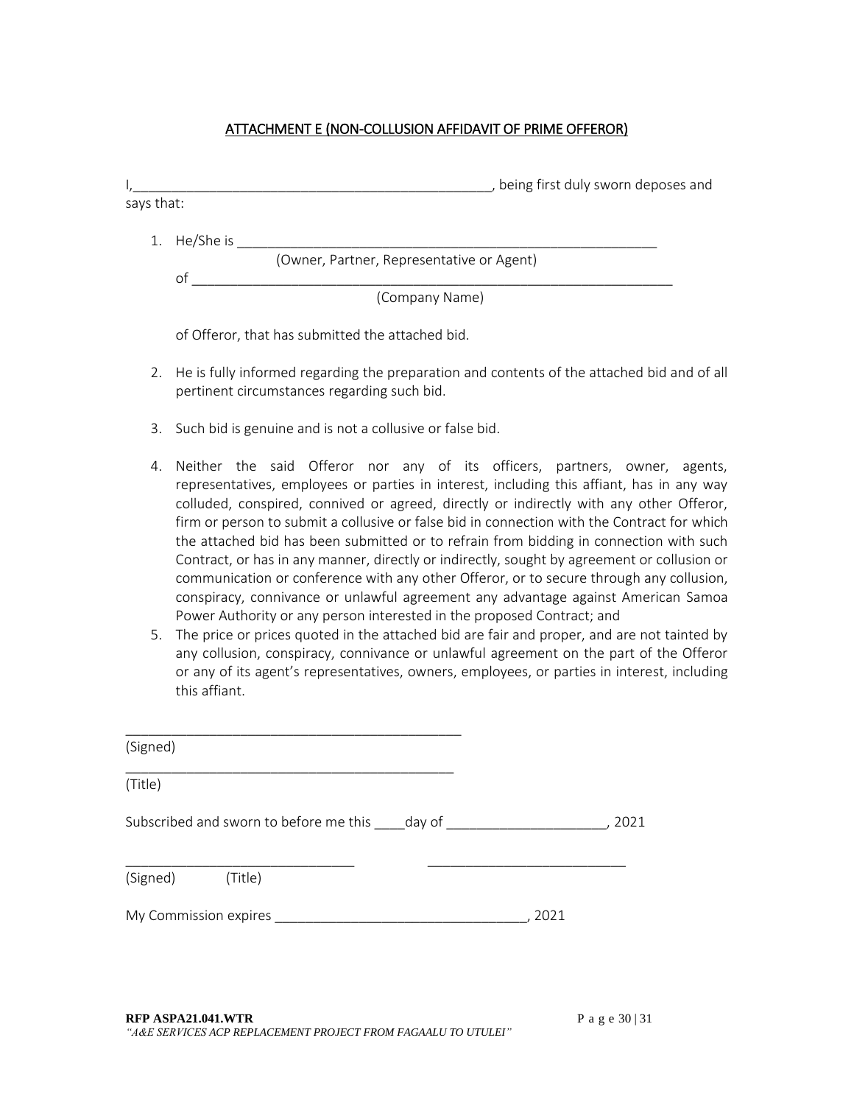#### ATTACHMENT E (NON-COLLUSION AFFIDAVIT OF PRIME OFFEROR)

| says that: | being first duly sworn deposes and                                                         |
|------------|--------------------------------------------------------------------------------------------|
|            | He/She is                                                                                  |
|            | (Owner, Partner, Representative or Agent)                                                  |
|            | οf                                                                                         |
|            | (Company Name)                                                                             |
|            | of Offeror, that has submitted the attached bid.                                           |
| 2.         | He is fully informed regarding the preparation and contents of the attached bid and of all |

- pertinent circumstances regarding such bid.
- 3. Such bid is genuine and is not a collusive or false bid.
- 4. Neither the said Offeror nor any of its officers, partners, owner, agents, representatives, employees or parties in interest, including this affiant, has in any way colluded, conspired, connived or agreed, directly or indirectly with any other Offeror, firm or person to submit a collusive or false bid in connection with the Contract for which the attached bid has been submitted or to refrain from bidding in connection with such Contract, or has in any manner, directly or indirectly, sought by agreement or collusion or communication or conference with any other Offeror, or to secure through any collusion, conspiracy, connivance or unlawful agreement any advantage against American Samoa Power Authority or any person interested in the proposed Contract; and
- 5. The price or prices quoted in the attached bid are fair and proper, and are not tainted by any collusion, conspiracy, connivance or unlawful agreement on the part of the Offeror or any of its agent's representatives, owners, employees, or parties in interest, including this affiant.

| (Signed)         |                                                    |      |      |
|------------------|----------------------------------------------------|------|------|
| (Title)          |                                                    |      |      |
|                  | Subscribed and sworn to before me this day of      |      | 2021 |
| (Signed) (Title) |                                                    |      |      |
|                  | My Commission expires <b>My Commission expires</b> | 2021 |      |